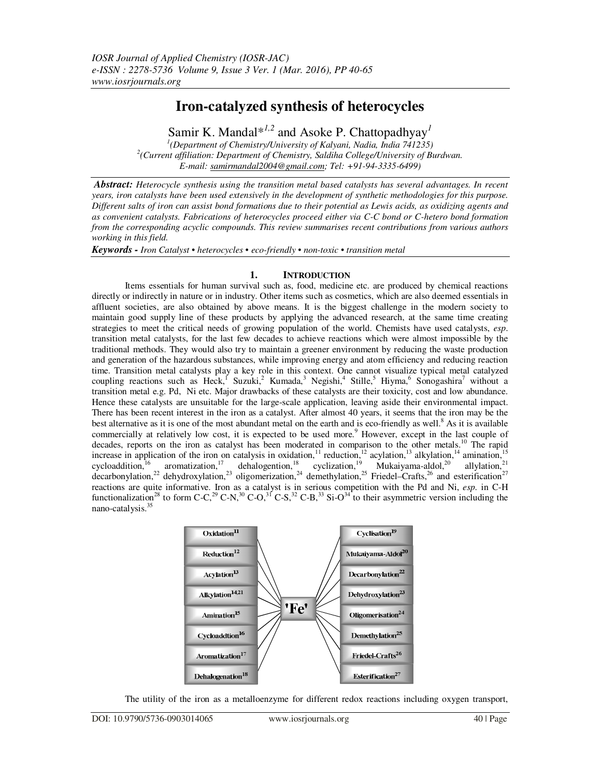# **Iron-catalyzed synthesis of heterocycles**

Samir K. Mandal\**1,2* and Asoke P. Chattopadhyay*<sup>1</sup> 1 (Department of Chemistry/University of Kalyani, Nadia, India 741235)*  <sup>2</sup> (Current affiliation: Department of Chemistry, Saldiha College/University of Burdwan. *E-mail: samirmandal2004@gmail.com; Tel: +91-94-3335-6499)* 

 *Abstract: Heterocycle synthesis using the transition metal based catalysts has several advantages. In recent years, iron catalysts have been used extensively in the development of synthetic methodologies for this purpose. Different salts of iron can assist bond formations due to their potential as Lewis acids, as oxidizing agents and as convenient catalysts. Fabrications of heterocycles proceed either via C-C bond or C-hetero bond formation from the corresponding acyclic compounds. This review summarises recent contributions from various authors working in this field.*

*Keywords - Iron Catalyst • heterocycles • eco-friendly • non-toxic • transition metal* 

# **1. INTRODUCTION**

 Items essentials for human survival such as, food, medicine etc. are produced by chemical reactions directly or indirectly in nature or in industry. Other items such as cosmetics, which are also deemed essentials in affluent societies, are also obtained by above means. It is the biggest challenge in the modern society to maintain good supply line of these products by applying the advanced research, at the same time creating strategies to meet the critical needs of growing population of the world. Chemists have used catalysts, *esp*. transition metal catalysts, for the last few decades to achieve reactions which were almost impossible by the traditional methods. They would also try to maintain a greener environment by reducing the waste production and generation of the hazardous substances, while improving energy and atom efficiency and reducing reaction time. Transition metal catalysts play a key role in this context. One cannot visualize typical metal catalyzed coupling reactions such as Heck,<sup>I</sup> Suzuki,<sup>2</sup> Kumada,<sup>3</sup> Negishi,<sup>4</sup> Stille,<sup>5</sup> Hiyma,<sup>6</sup> Sonogashira<sup>7</sup> without a transition metal e.g. Pd, Ni etc. Major drawbacks of these catalysts are their toxicity, cost and low abundance. Hence these catalysts are unsuitable for the large-scale application, leaving aside their environmental impact. There has been recent interest in the iron as a catalyst. After almost 40 years, it seems that the iron may be the best alternative as it is one of the most abundant metal on the earth and is eco-friendly as well.<sup>8</sup> As it is available commercially at relatively low cost, it is expected to be used more.<sup>9</sup> However, except in the last couple of decades, reports on the iron as catalyst has been moderated in comparison to the other metals.<sup>10</sup> The rapid increase in application of the iron on catalysis in oxidation,<sup>11</sup> reduction,<sup>12</sup> acylation,<sup>13</sup> alkylation,<sup>14</sup> amination,<sup>15</sup> cycloaddition,<sup>16</sup> aromatization,<sup>17</sup> dehalogention,<sup>18</sup> cyclization,<sup>19</sup> Mukaiyama-aldol,<sup>20</sup> allylation,<sup>21</sup> decarbonylation,<sup>22</sup> dehydroxylation,<sup>23</sup> oligomerization,<sup>24</sup> demethylation,<sup>25</sup> Friedel–Crafts,<sup>26</sup> and esterification<sup>27</sup> reactions are quite informative. Iron as a catalyst is in serious competition with the Pd and Ni, *esp.* in C-H functionalization<sup>28</sup> to form C-C,<sup>29</sup> C-N,<sup>30</sup> C-O,<sup>31</sup> C-S,<sup>32</sup> C-B,<sup>33</sup> Si-O<sup>34</sup> to their asymmetric version including the nano-catalysis.<sup>35</sup>



The utility of the iron as a metalloenzyme for different redox reactions including oxygen transport,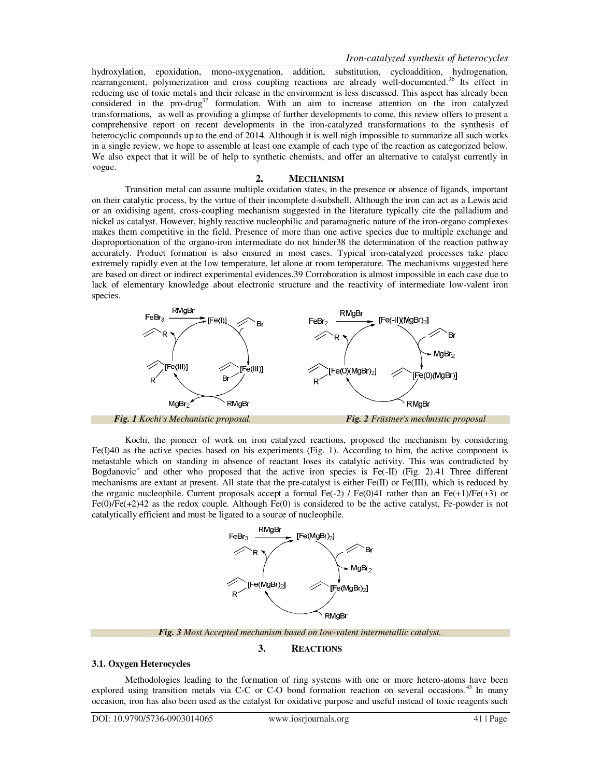hydroxylation, epoxidation, mono-oxygenation, addition, substitution, cycloaddition, hydrogenation, rearrangement, polymerization and cross coupling reactions are already well-documented.<sup>36</sup> Its effect in reducing use of toxic metals and their release in the environment is less discussed. This aspect has already been considered in the pro-drug<sup>37</sup> formulation. With an aim to increase attention on the iron catalyzed transformations, as well as providing a glimpse of further developments to come, this review offers to present a comprehensive report on recent developments in the iron-catalyzed transformations to the synthesis of heterocyclic compounds up to the end of 2014. Although it is well nigh impossible to summarize all such works in a single review, we hope to assemble at least one example of each type of the reaction as categorized below. We also expect that it will be of help to synthetic chemists, and offer an alternative to catalyst currently in vogue.

# **2. MECHANISM**

 Transition metal can assume multiple oxidation states, in the presence or absence of ligands, important on their catalytic process, by the virtue of their incomplete d-subshell. Although the iron can act as a Lewis acid or an oxidising agent, cross-coupling mechanism suggested in the literature typically cite the palladium and nickel as catalyst. However, highly reactive nucleophilic and paramagnetic nature of the iron-organo complexes makes them competitive in the field. Presence of more than one active species due to multiple exchange and disproportionation of the organo-iron intermediate do not hinder38 the determination of the reaction pathway accurately. Product formation is also ensured in most cases. Typical iron-catalyzed processes take place extremely rapidly even at the low temperature, let alone at room temperature. The mechanisms suggested here are based on direct or indirect experimental evidences.39 Corroboration is almost impossible in each case due to lack of elementary knowledge about electronic structure and the reactivity of intermediate low-valent iron species.



 Kochi, the pioneer of work on iron catalyzed reactions, proposed the mechanism by considering Fe(I)40 as the active species based on his experiments (Fig. 1). According to him, the active component is metastable which on standing in absence of reactant loses its catalytic activity. This was contradicted by Bogdanovic´ and other who proposed that the active iron species is Fe(-II) (Fig. 2).41 Three different mechanisms are extant at present. All state that the pre-catalyst is either Fe(II) or Fe(III), which is reduced by the organic nucleophile. Current proposals accept a formal Fe(-2) / Fe(0)41 rather than an Fe(+1)/Fe(+3) or Fe(0)/Fe(+2)42 as the redox couple. Although Fe(0) is considered to be the active catalyst, Fe-powder is not catalytically efficient and must be ligated to a source of nucleophile.



*Fig. 3 Most Accepted mechanism based on low-valent intermetallic catalyst.* 

# **3. REACTIONS**

# **3.1. Oxygen Heterocycles**

 Methodologies leading to the formation of ring systems with one or more hetero-atoms have been explored using transition metals via C-C or C-O bond formation reaction on several occasions.<sup>43</sup> In many occasion, iron has also been used as the catalyst for oxidative purpose and useful instead of toxic reagents such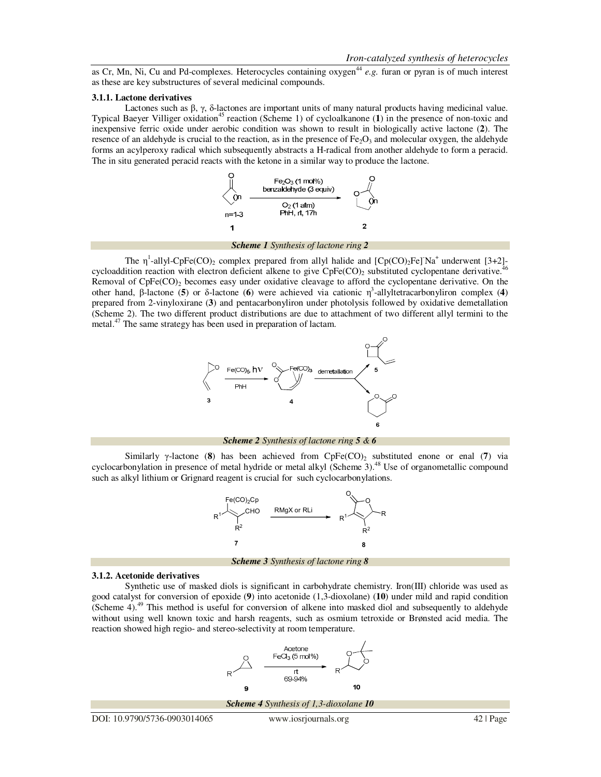as Cr, Mn, Ni, Cu and Pd-complexes. Heterocycles containing oxygen<sup>44</sup> e.g. furan or pyran is of much interest as these are key substructures of several medicinal compounds.

#### **3.1.1. Lactone derivatives**

Lactones such as  $\beta$ ,  $\gamma$ , δ-lactones are important units of many natural products having medicinal value. Typical Baeyer Villiger oxidation<sup>45</sup> reaction (Scheme 1) of cycloalkanone (1) in the presence of non-toxic and inexpensive ferric oxide under aerobic condition was shown to result in biologically active lactone (**2**). The resence of an aldehyde is crucial to the reaction, as in the presence of  $Fe<sub>2</sub>O<sub>3</sub>$  and molecular oxygen, the aldehyde forms an acylperoxy radical which subsequently abstracts a H-radical from another aldehyde to form a peracid. The in situ generated peracid reacts with the ketone in a similar way to produce the lactone.



*Scheme 1 Synthesis of lactone ring 2*

The  $\eta^1$ -allyl-CpFe(CO)<sub>2</sub> complex prepared from allyl halide and [Cp(CO)<sub>2</sub>Fe]<sup>-</sup>Na<sup>+</sup> underwent [3+2]cycloaddition reaction with electron deficient alkene to give  $CpFe(CO)_2$  substituted cyclopentane derivative.<sup>46</sup> Removal of  $CpFe(CO)$ <sub>2</sub> becomes easy under oxidative cleavage to afford the cyclopentane derivative. On the other hand, β-lactone (**5**) or δ-lactone (**6**) were achieved via cationic η 3 -allyltetracarbonyliron complex (**4**) prepared from 2-vinyloxirane (**3**) and pentacarbonyliron under photolysis followed by oxidative demetallation (Scheme 2). The two different product distributions are due to attachment of two different allyl termini to the metal.<sup>47</sup> The same strategy has been used in preparation of lactam.



*Scheme 2 Synthesis of lactone ring 5 & 6* 

Similarly γ-lactone (8) has been achieved from  $\text{CpFe(CO)}_2$  substituted enone or enal (7) via cyclocarbonylation in presence of metal hydride or metal alkyl (Scheme 3).<sup>48</sup> Use of organometallic compound such as alkyl lithium or Grignard reagent is crucial for such cyclocarbonylations.



*Scheme 3 Synthesis of lactone ring 8*

#### **3.1.2. Acetonide derivatives**

 Synthetic use of masked diols is significant in carbohydrate chemistry. Iron(III) chloride was used as good catalyst for conversion of epoxide (**9**) into acetonide (1,3-dioxolane) (**10**) under mild and rapid condition (Scheme 4). $49$  This method is useful for conversion of alkene into masked diol and subsequently to aldehyde without using well known toxic and harsh reagents, such as osmium tetroxide or Brønsted acid media. The reaction showed high regio- and stereo-selectivity at room temperature.

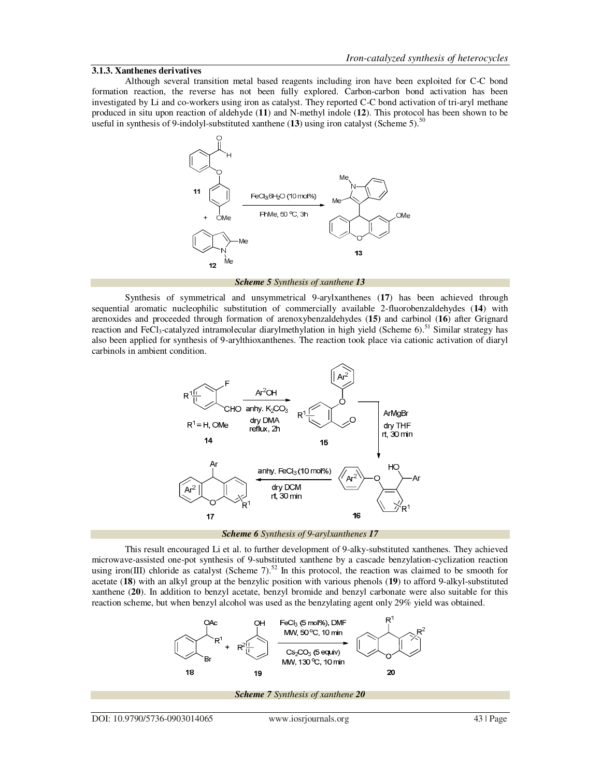# **3.1.3. Xanthenes derivatives**

 Although several transition metal based reagents including iron have been exploited for C-C bond formation reaction, the reverse has not been fully explored. Carbon-carbon bond activation has been investigated by Li and co-workers using iron as catalyst. They reported C-C bond activation of tri-aryl methane produced in situ upon reaction of aldehyde (**11**) and N-methyl indole (**12**). This protocol has been shown to be useful in synthesis of 9-indolyl-substituted xanthene (13) using iron catalyst (Scheme 5).<sup>50</sup>



*Scheme 5 Synthesis of xanthene 13*

 Synthesis of symmetrical and unsymmetrical 9-arylxanthenes (**17**) has been achieved through sequential aromatic nucleophilic substitution of commercially available 2-fluorobenzaldehydes (**14**) with arenoxides and proceeded through formation of arenoxybenzaldehydes (**15)** and carbinol (**16**) after Grignard reaction and FeCl<sub>3</sub>-catalyzed intramolecular diarylmethylation in high yield (Scheme 6).<sup>51</sup> Similar strategy has also been applied for synthesis of 9-arylthioxanthenes. The reaction took place via cationic activation of diaryl carbinols in ambient condition.



*Scheme 6 Synthesis of 9-arylxanthenes 17*

 This result encouraged Li et al. to further development of 9-alky-substituted xanthenes. They achieved microwave-assisted one-pot synthesis of 9-substituted xanthene by a cascade benzylation-cyclization reaction using iron(III) chloride as catalyst (Scheme 7).<sup>52</sup> In this protocol, the reaction was claimed to be smooth for acetate (**18**) with an alkyl group at the benzylic position with various phenols (**19**) to afford 9-alkyl-substituted xanthene (**20**). In addition to benzyl acetate, benzyl bromide and benzyl carbonate were also suitable for this reaction scheme, but when benzyl alcohol was used as the benzylating agent only 29% yield was obtained.

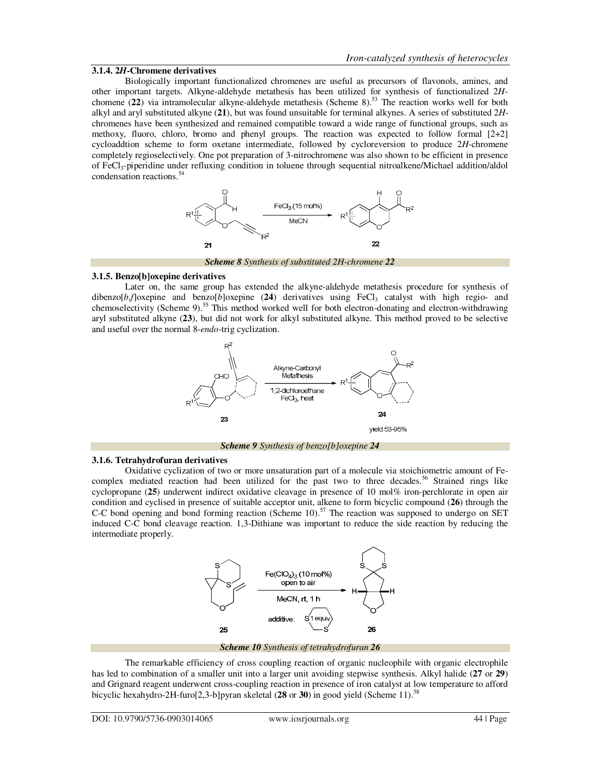# **3.1.4. 2***H***-Chromene derivatives**

 Biologically important functionalized chromenes are useful as precursors of flavonols, amines, and other important targets. Alkyne-aldehyde metathesis has been utilized for synthesis of functionalized 2*H*chomene (**22**) via intramolecular alkyne-aldehyde metathesis (Scheme 8).<sup>53</sup> The reaction works well for both alkyl and aryl substituted alkyne (**21**), but was found unsuitable for terminal alkynes. A series of substituted 2*H*chromenes have been synthesized and remained compatible toward a wide range of functional groups, such as methoxy, fluoro, chloro, bromo and phenyl groups. The reaction was expected to follow formal [2+2] cycloaddtion scheme to form oxetane intermediate, followed by cycloreversion to produce 2*H*-chromene completely regioselectively. One pot preparation of 3-nitrochromene was also shown to be efficient in presence of FeCl3-piperidine under refluxing condition in toluene through sequential nitroalkene/Michael addition/aldol condensation reactions.<sup>54</sup>



*Scheme 8 Synthesis of substituted 2H-chromene 22*

## **3.1.5. Benzo[b]oxepine derivatives**

 Later on, the same group has extended the alkyne-aldehyde metathesis procedure for synthesis of dibenzo $[b, f]$ oxepine and benzo $[b]$ oxepine (24) derivatives using FeCl<sub>3</sub> catalyst with high regio- and chemoselectivity (Scheme 9).<sup>55</sup> This method worked well for both electron-donating and electron-withdrawing aryl substituted alkyne (**23**), but did not work for alkyl substituted alkyne. This method proved to be selective and useful over the normal 8-*endo*-trig cyclization.



# **3.1.6. Tetrahydrofuran derivatives**

 Oxidative cyclization of two or more unsaturation part of a molecule via stoichiometric amount of Fecomplex mediated reaction had been utilized for the past two to three decades.<sup>56</sup> Strained rings like cyclopropane (**25**) underwent indirect oxidative cleavage in presence of 10 mol% iron-perchlorate in open air condition and cyclised in presence of suitable acceptor unit, alkene to form bicyclic compound (**26**) through the C-C bond opening and bond forming reaction (Scheme 10).<sup>57</sup> The reaction was supposed to undergo on SET induced C-C bond cleavage reaction. 1,3-Dithiane was important to reduce the side reaction by reducing the intermediate properly.



*Scheme 10 Synthesis of tetrahydrofuran 26*

 The remarkable efficiency of cross coupling reaction of organic nucleophile with organic electrophile has led to combination of a smaller unit into a larger unit avoiding stepwise synthesis. Alkyl halide (**27** or **29**) and Grignard reagent underwent cross-coupling reaction in presence of iron catalyst at low temperature to afford bicyclic hexahydro-2H-furo[2,3-b]pyran skeletal (28 or 30) in good yield (Scheme 11).<sup>58</sup>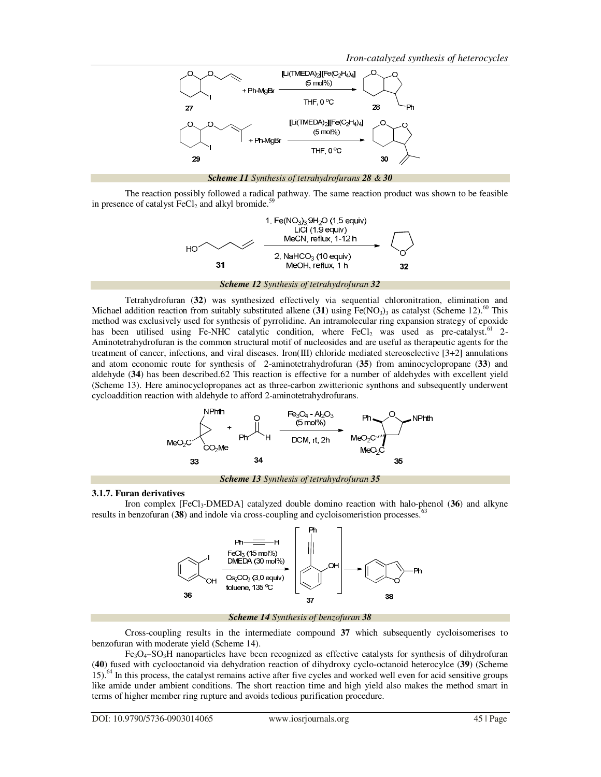

 The reaction possibly followed a radical pathway. The same reaction product was shown to be feasible in presence of catalyst  $\text{FeCl}_2$  and alkyl bromide.<sup>59</sup>



 Tetrahydrofuran (**32**) was synthesized effectively via sequential chloronitration, elimination and Michael addition reaction from suitably substituted alkene  $(31)$  using Fe(NO<sub>3</sub>)<sub>3</sub> as catalyst (Scheme 12).<sup>60</sup> This method was exclusively used for synthesis of pyrrolidine. An intramolecular ring expansion strategy of epoxide has been utilised using Fe-NHC catalytic condition, where  $FeCl<sub>2</sub>$  was used as pre-catalyst.<sup>61</sup> 2-Aminotetrahydrofuran is the common structural motif of nucleosides and are useful as therapeutic agents for the treatment of cancer, infections, and viral diseases. Iron(III) chloride mediated stereoselective [3+2] annulations and atom economic route for synthesis of 2-aminotetrahydrofuran (**35**) from aminocyclopropane (**33**) and aldehyde (**34**) has been described.62 This reaction is effective for a number of aldehydes with excellent yield (Scheme 13). Here aminocyclopropanes act as three-carbon zwitterionic synthons and subsequently underwent cycloaddition reaction with aldehyde to afford 2-aminotetrahydrofurans.



# **3.1.7. Furan derivatives**

 Iron complex [FeCl3-DMEDA] catalyzed double domino reaction with halo-phenol (**36**) and alkyne results in benzofuran (38) and indole via cross-coupling and cycloisomeristion processes.<sup>63</sup>



## *Scheme 14 Synthesis of benzofuran 38*

 Cross-coupling results in the intermediate compound **37** which subsequently cycloisomerises to benzofuran with moderate yield (Scheme 14).

 $Fe<sub>3</sub>O<sub>4</sub>$ –SO<sub>3</sub>H nanoparticles have been recognized as effective catalysts for synthesis of dihydrofuran (**40**) fused with cyclooctanoid via dehydration reaction of dihydroxy cyclo-octanoid heterocylce (**39**) (Scheme 15).<sup>64</sup> In this process, the catalyst remains active after five cycles and worked well even for acid sensitive groups like amide under ambient conditions. The short reaction time and high yield also makes the method smart in terms of higher member ring rupture and avoids tedious purification procedure.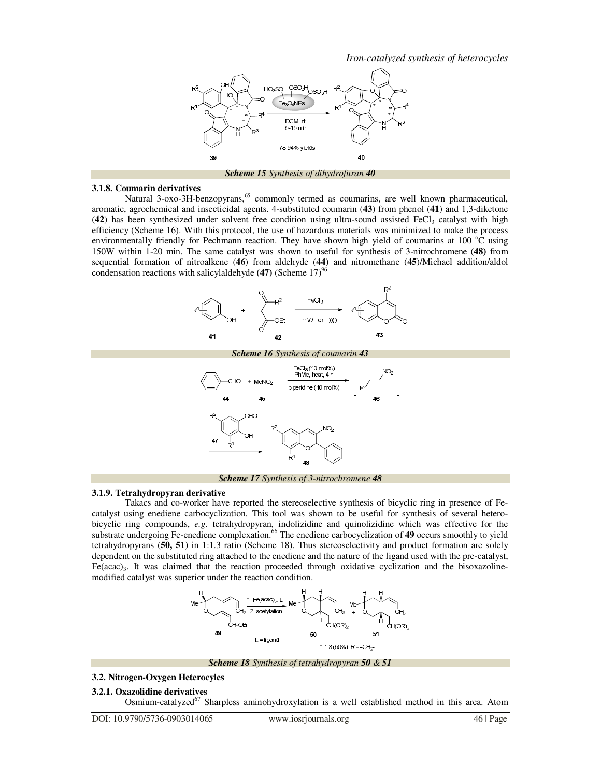

*Scheme 15 Synthesis of dihydrofuran 40*

#### **3.1.8. Coumarin derivatives**

Natural 3-oxo-3H-benzopyrans,<sup>65</sup> commonly termed as coumarins, are well known pharmaceutical, aromatic, agrochemical and insecticidal agents. 4-substituted coumarin (**43**) from phenol (**41**) and 1,3-diketone  $(42)$  has been synthesized under solvent free condition using ultra-sound assisted FeCl<sub>3</sub> catalyst with high efficiency (Scheme 16). With this protocol, the use of hazardous materials was minimized to make the process environmentally friendly for Pechmann reaction. They have shown high yield of coumarins at 100  $^{\circ}$ C using 150W within 1-20 min. The same catalyst was shown to useful for synthesis of 3-nitrochromene (**48)** from sequential formation of nitroalkene (**46**) from aldehyde (**44)** and nitromethane (**45**)/Michael addition/aldol condensation reactions with salicylaldehyde (47) (Scheme 17)<sup>96</sup>





# **3.1.9. Tetrahydropyran derivative**

 Takacs and co-worker have reported the stereoselective synthesis of bicyclic ring in presence of Fecatalyst using enediene carbocyclization. This tool was shown to be useful for synthesis of several heterobicyclic ring compounds, *e.g.* tetrahydropyran, indolizidine and quinolizidine which was effective for the substrate undergoing Fe-enediene complexation.<sup>66</sup> The enediene carbocyclization of 49 occurs smoothly to yield tetrahydropyrans (**50, 51)** in 1:1.3 ratio (Scheme 18). Thus stereoselectivity and product formation are solely dependent on the substituted ring attached to the enediene and the nature of the ligand used with the pre-catalyst,  $Fe(acac)<sub>3</sub>$ . It was claimed that the reaction proceeded through oxidative cyclization and the bisoxazolinemodified catalyst was superior under the reaction condition.



*Scheme 18 Synthesis of tetrahydropyran 50 & 51*

#### **3.2. Nitrogen-Oxygen Heterocyles**

**3.2.1. Oxazolidine derivatives** 

Osmium-catalyzed<sup>67</sup> Sharpless aminohydroxylation is a well established method in this area. Atom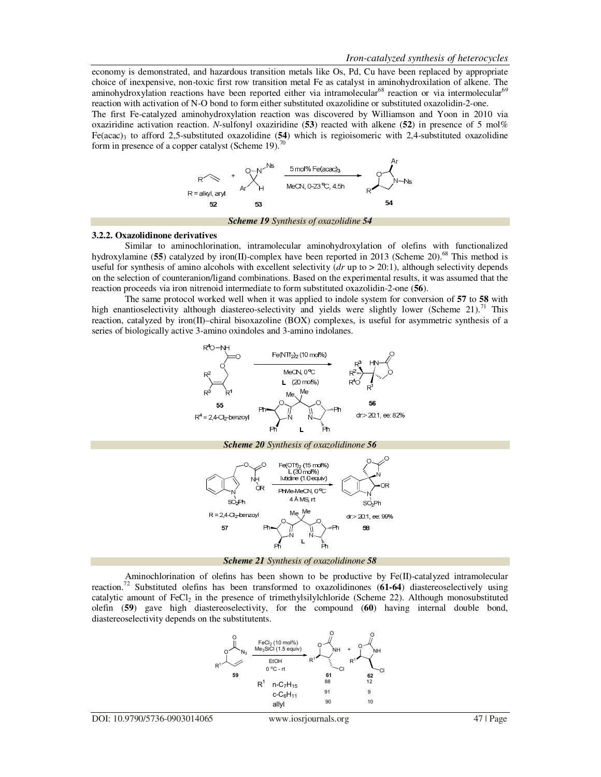economy is demonstrated, and hazardous transition metals like Os, Pd, Cu have been replaced by appropriate choice of inexpensive, non-toxic first row transition metal Fe as catalyst in aminohydroxilation of alkene. The aminohydroxylation reactions have been reported either via intramolecular<sup>68</sup> reaction or via intermolecular<sup>69</sup> reaction with activation of N-O bond to form either substituted oxazolidine or substituted oxazolidin-2-one.

The first Fe-catalyzed aminohydroxylation reaction was discovered by Williamson and Yoon in 2010 via oxaziridine activation reaction. *N*-sulfonyl oxaziridine (53) reacted with alkene (52) in presence of 5 mol% Fe(acac)<sub>3</sub> to afford 2,5-substituted oxazolidine (54) which is regioisomeric with 2,4-substituted oxazolidine form in presence of a copper catalyst (Scheme 19).<sup>70</sup>



#### **3.2.2. Oxazolidinone derivatives**

 Similar to aminochlorination, intramolecular aminohydroxylation of olefins with functionalized hydroxylamine (**55**) catalyzed by iron(II)-complex have been reported in 2013 (Scheme 20).<sup>68</sup> This method is useful for synthesis of amino alcohols with excellent selectivity (*dr* up to > 20:1), although selectivity depends on the selection of counteranion/ligand combinations. Based on the experimental results, it was assumed that the reaction proceeds via iron nitrenoid intermediate to form substituted oxazolidin-2-one (**56**).

 The same protocol worked well when it was applied to indole system for conversion of **57** to **58** with high enantioselectivity although diastereo-selectivity and yields were slightly lower (Scheme 21).<sup>71</sup> This reaction, catalyzed by iron(II)–chiral bisoxazoline (BOX) complexes, is useful for asymmetric synthesis of a series of biologically active 3-amino oxindoles and 3-amino indolanes.





 Aminochlorination of olefins has been shown to be productive by Fe(II)-catalyzed intramolecular reaction.<sup>72</sup> Substituted olefins has been transformed to oxazolidinones (**61-64**) diastereoselectively using catalytic amount of  $FeCl<sub>2</sub>$  in the presence of trimethylsilylchloride (Scheme 22). Although monosubstituted olefin (**59**) gave high diastereoselectivity, for the compound (**60**) having internal double bond, diastereoselectivity depends on the substitutents.

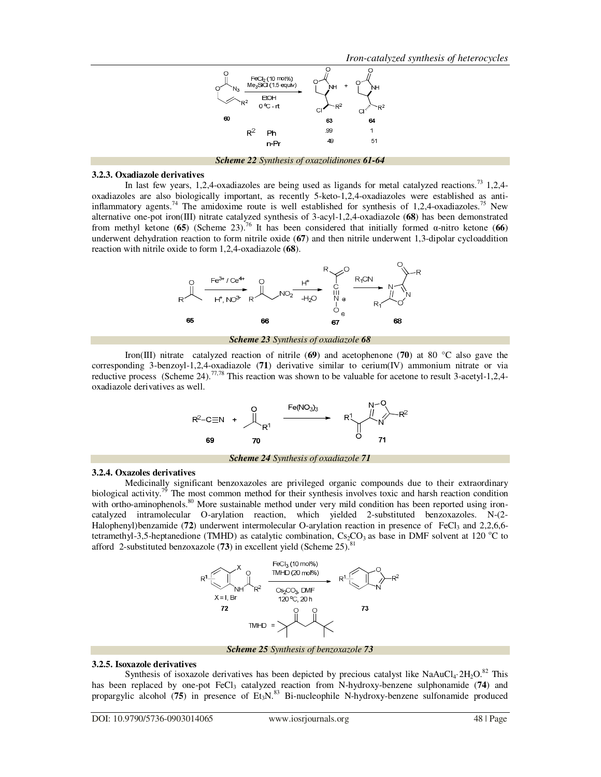

*Scheme 22 Synthesis of oxazolidinones 61-64*

# **3.2.3. Oxadiazole derivatives**

In last few years, 1,2,4-oxadiazoles are being used as ligands for metal catalyzed reactions.<sup>73</sup> 1,2,4oxadiazoles are also biologically important, as recently 5-keto-1,2,4-oxadiazoles were established as antiinflammatory agents.<sup>74</sup> The amidoxime route is well established for synthesis of 1,2,4-oxadiazoles.<sup>75</sup> New alternative one-pot iron(III) nitrate catalyzed synthesis of 3-acyl-1,2,4-oxadiazole (**68**) has been demonstrated from methyl ketone (**65**) (Scheme 23).<sup>76</sup> It has been considered that initially formed α-nitro ketone (**66**) underwent dehydration reaction to form nitrile oxide (**67**) and then nitrile underwent 1,3-dipolar cycloaddition reaction with nitrile oxide to form 1,2,4-oxadiazole (**68**).



*Scheme 23 Synthesis of oxadiazole 68*

 Iron(III) nitrate catalyzed reaction of nitrile (**69**) and acetophenone (**70**) at 80 °C also gave the corresponding 3-benzoyl-1,2,4-oxadiazole (**71**) derivative similar to cerium(IV) ammonium nitrate or via reductive process (Scheme 24).<sup>77,78</sup> This reaction was shown to be valuable for acetone to result 3-acetyl-1,2,4oxadiazole derivatives as well.



# **3.2.4. Oxazoles derivatives**

 Medicinally significant benzoxazoles are privileged organic compounds due to their extraordinary biological activity.<sup>79</sup> The most common method for their synthesis involves toxic and harsh reaction condition with ortho-aminophenols.<sup>80</sup> More sustainable method under very mild condition has been reported using ironcatalyzed intramolecular O-arylation reaction, which yielded 2-substituted benzoxazoles. N-(2- Halophenyl)benzamide (**72**) underwent intermolecular O-arylation reaction in presence of FeCl<sub>3</sub> and 2,2,6,6tetramethyl-3,5-heptanedione (TMHD) as catalytic combination,  $Cs_2CO_3$  as base in DMF solvent at 120 °C to afford 2-substituted benzoxazole  $(73)$  in excellent yield (Scheme 25).<sup>8</sup>



*Scheme 25 Synthesis of benzoxazole 73*

#### **3.2.5. Isoxazole derivatives**

Synthesis of isoxazole derivatives has been depicted by precious catalyst like  $NaAuCl<sub>4</sub>·2H<sub>2</sub>O<sub>.82</sub>$  This has been replaced by one-pot FeCl<sub>3</sub> catalyzed reaction from N-hydroxy-benzene sulphonamide (74) and propargylic alcohol ( $75$ ) in presence of Et<sub>3</sub>N.<sup>83</sup> Bi-nucleophile N-hydroxy-benzene sulfonamide produced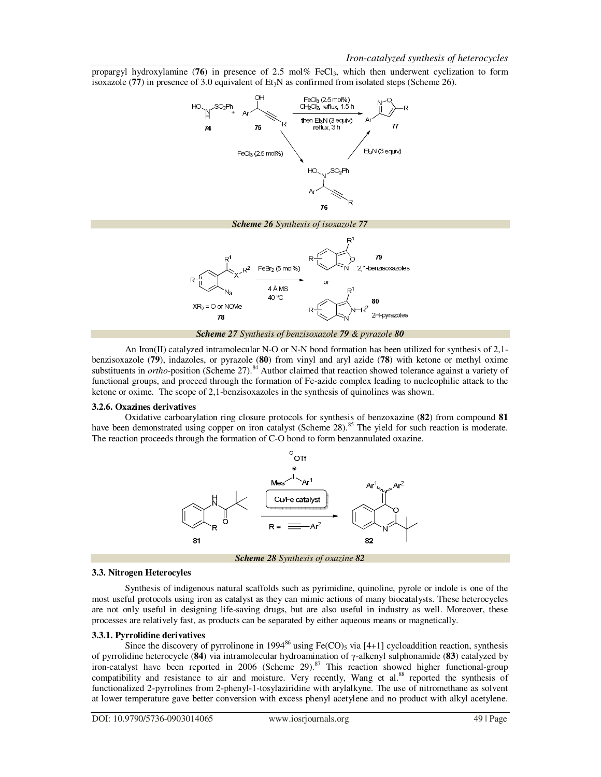propargyl hydroxylamine (**76**) in presence of 2.5 mol% FeCl<sub>3</sub>, which then underwent cyclization to form isoxazole ( $77$ ) in presence of 3.0 equivalent of Et<sub>3</sub>N as confirmed from isolated steps (Scheme 26).



An Iron(II) catalyzed intramolecular N-O or N-N bond formation has been utilized for synthesis of 2,1benzisoxazole (**79**), indazoles, or pyrazole (**80**) from vinyl and aryl azide (**78**) with ketone or methyl oxime substituents in *ortho*-position (Scheme 27).<sup>84</sup> Author claimed that reaction showed tolerance against a variety of functional groups, and proceed through the formation of Fe-azide complex leading to nucleophilic attack to the ketone or oxime. The scope of 2,1-benzisoxazoles in the synthesis of quinolines was shown.

# **3.2.6. Oxazines derivatives**

 Oxidative carboarylation ring closure protocols for synthesis of benzoxazine (**82**) from compound **81**  have been demonstrated using copper on iron catalyst (Scheme 28).<sup>85</sup> The yield for such reaction is moderate. The reaction proceeds through the formation of C-O bond to form benzannulated oxazine.



*Scheme 28 Synthesis of oxazine 82*

## **3.3. Nitrogen Heterocyles**

 Synthesis of indigenous natural scaffolds such as pyrimidine, quinoline, pyrole or indole is one of the most useful protocols using iron as catalyst as they can mimic actions of many biocatalysts. These heterocycles are not only useful in designing life-saving drugs, but are also useful in industry as well. Moreover, these processes are relatively fast, as products can be separated by either aqueous means or magnetically.

# **3.3.1. Pyrrolidine derivatives**

Since the discovery of pyrrolinone in 1994<sup>86</sup> using Fe(CO)<sub>5</sub> via [4+1] cycloaddition reaction, synthesis of pyrrolidine heterocycle (**84**) via intramolecular hydroamination of γ-alkenyl sulphonamide (**83**) catalyzed by iron-catalyst have been reported in 2006 (Scheme 29).<sup>87</sup> This reaction showed higher functional-group compatibility and resistance to air and moisture. Very recently, Wang et al.<sup>88</sup> reported the synthesis of functionalized 2-pyrrolines from 2-phenyl-1-tosylaziridine with arylalkyne. The use of nitromethane as solvent at lower temperature gave better conversion with excess phenyl acetylene and no product with alkyl acetylene.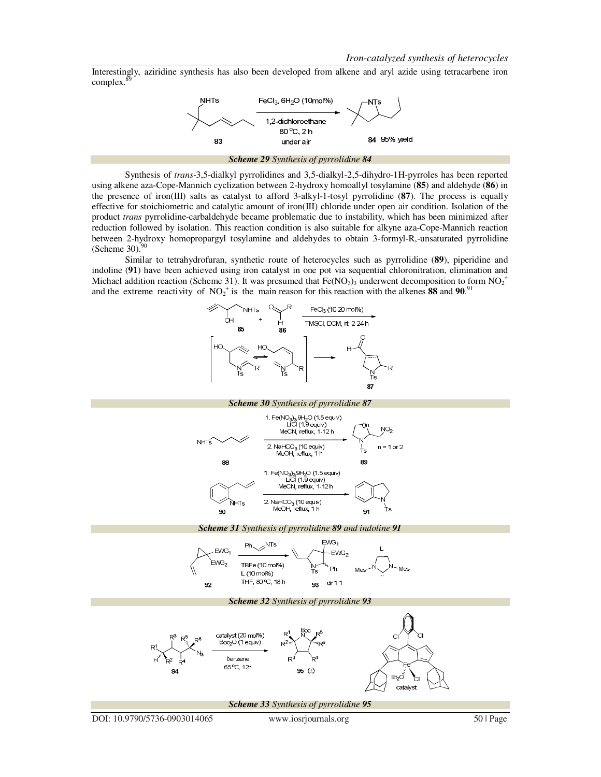Interestingly, aziridine synthesis has also been developed from alkene and aryl azide using tetracarbene iron complex.



 Synthesis of *trans*-3,5-dialkyl pyrrolidines and 3,5-dialkyl-2,5-dihydro-1H-pyrroles has been reported using alkene aza-Cope-Mannich cyclization between 2-hydroxy homoallyl tosylamine (**85**) and aldehyde (**86**) in the presence of iron(III) salts as catalyst to afford 3-alkyl-1-tosyl pyrrolidine (**87**). The process is equally effective for stoichiometric and catalytic amount of iron(III) chloride under open air condition. Isolation of the product *trans* pyrrolidine-carbaldehyde became problematic due to instability, which has been minimized after reduction followed by isolation. This reaction condition is also suitable for alkyne aza-Cope-Mannich reaction between 2-hydroxy homopropargyl tosylamine and aldehydes to obtain 3-formyl-R,-unsaturated pyrrolidine (Scheme  $30$ ).<sup>90</sup>

 Similar to tetrahydrofuran, synthetic route of heterocycles such as pyrrolidine (**89**), piperidine and indoline (**91**) have been achieved using iron catalyst in one pot via sequential chloronitration, elimination and Michael addition reaction (Scheme 31). It was presumed that  $Fe(NO<sub>3</sub>)<sub>3</sub>$  underwent decomposition to form  $NO<sub>2</sub><sup>+</sup>$ and the extreme reactivity of  $NO_2^+$  is the main reason for this reaction with the alkenes **88** and **90**.<sup>91</sup>

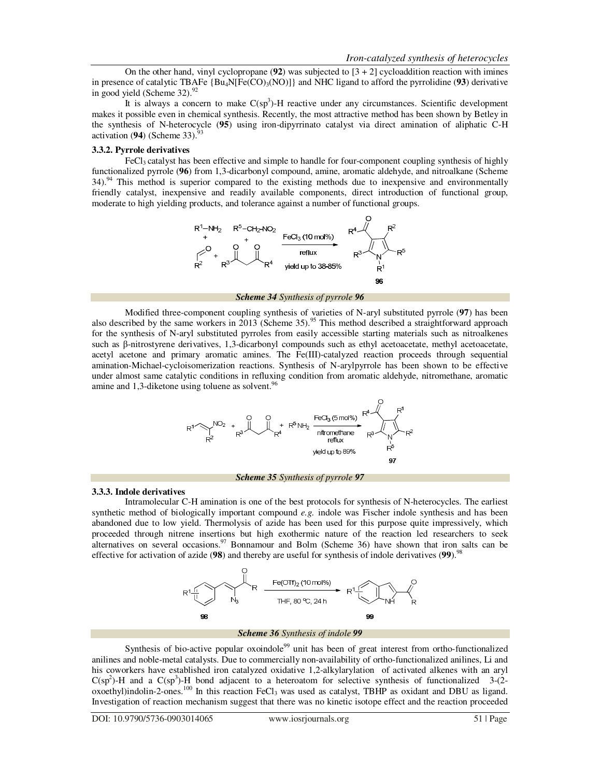On the other hand, vinyl cyclopropane  $(92)$  was subjected to  $[3 + 2]$  cycloaddition reaction with imines in presence of catalytic TBAFe  ${Bu_4N[Fe(CO)_3(NO)]}$  and NHC ligand to afford the pyrrolidine (93) derivative in good yield (Scheme 32). $92$ 

It is always a concern to make  $C(sp^3)$ -H reactive under any circumstances. Scientific development makes it possible even in chemical synthesis. Recently, the most attractive method has been shown by Betley in the synthesis of N-heterocycle (**95**) using iron-dipyrrinato catalyst via direct amination of aliphatic C-H activation (94) (Scheme 33).<sup>9</sup>

## **3.3.2. Pyrrole derivatives**

FeCl<sub>3</sub> catalyst has been effective and simple to handle for four-component coupling synthesis of highly functionalized pyrrole (**96**) from 1,3-dicarbonyl compound, amine, aromatic aldehyde, and nitroalkane (Scheme 34).<sup>94</sup> This method is superior compared to the existing methods due to inexpensive and environmentally friendly catalyst, inexpensive and readily available components, direct introduction of functional group, moderate to high yielding products, and tolerance against a number of functional groups.



*Scheme 34 Synthesis of pyrrole 96*

 Modified three-component coupling synthesis of varieties of N-aryl substituted pyrrole (**97**) has been also described by the same workers in 2013 (Scheme 35).<sup>95</sup> This method described a straightforward approach for the synthesis of N-aryl substituted pyrroles from easily accessible starting materials such as nitroalkenes such as β-nitrostyrene derivatives, 1,3-dicarbonyl compounds such as ethyl acetoacetate, methyl acetoacetate, acetyl acetone and primary aromatic amines. The Fe(III)-catalyzed reaction proceeds through sequential amination-Michael-cycloisomerization reactions. Synthesis of N-arylpyrrole has been shown to be effective under almost same catalytic conditions in refluxing condition from aromatic aldehyde, nitromethane, aromatic amine and 1,3-diketone using toluene as solvent.<sup>96</sup>



#### **3.3.3. Indole derivatives**

 Intramolecular C-H amination is one of the best protocols for synthesis of N-heterocycles. The earliest synthetic method of biologically important compound *e.g.* indole was Fischer indole synthesis and has been abandoned due to low yield. Thermolysis of azide has been used for this purpose quite impressively, which proceeded through nitrene insertions but high exothermic nature of the reaction led researchers to seek alternatives on several occasions.<sup>97</sup> Bonnamour and Bolm (Scheme 36) have shown that iron salts can be effective for activation of azide (**98**) and thereby are useful for synthesis of indole derivatives (**99**).<sup>98</sup>



## *Scheme 36 Synthesis of indole 99*

Synthesis of bio-active popular oxoindole<sup>99</sup> unit has been of great interest from ortho-functionalized anilines and noble-metal catalysts. Due to commercially non-availability of ortho-functionalized anilines, Li and his coworkers have established iron catalyzed oxidative 1,2-alkylarylation of activated alkenes with an aryl  $C(sp^2)$ -H and a  $C(sp^3)$ -H bond adjacent to a heteroatom for selective synthesis of functionalized 3-(2- $\overrightarrow{\text{oxoethyl}}$ )indolin-2-ones.<sup>100</sup> In this reaction FeCl<sub>3</sub> was used as catalyst, TBHP as oxidant and DBU as ligand. Investigation of reaction mechanism suggest that there was no kinetic isotope effect and the reaction proceeded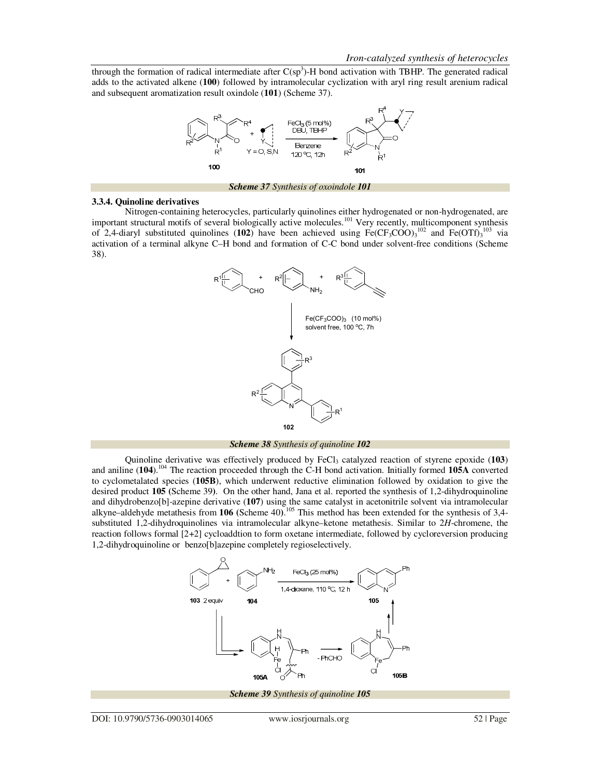through the formation of radical intermediate after  $C(sp^3)$ -H bond activation with TBHP. The generated radical adds to the activated alkene (**100**) followed by intramolecular cyclization with aryl ring result arenium radical and subsequent aromatization result oxindole (**101**) (Scheme 37).



#### **3.3.4. Quinoline derivatives**

 Nitrogen-containing heterocycles, particularly quinolines either hydrogenated or non-hydrogenated, are important structural motifs of several biologically active molecules.<sup>101</sup> Very recently, multicomponent synthesis of 2,4-diaryl substituted quinolines (102) have been achieved using  $Fe(CF_3COO)_3^{102}$  and  $Fe(OTf)_3^{103}$  via activation of a terminal alkyne C–H bond and formation of C-C bond under solvent-free conditions (Scheme 38).



*Scheme 38 Synthesis of quinoline 102*

Quinoline derivative was effectively produced by FeCl<sub>3</sub> catalyzed reaction of styrene epoxide (103) and aniline (**104**).<sup>104</sup> The reaction proceeded through the C-H bond activation. Initially formed **105A** converted to cyclometalated species (**105B**), which underwent reductive elimination followed by oxidation to give the desired product **105 (**Scheme 39**)**. On the other hand, Jana et al. reported the synthesis of 1,2-dihydroquinoline and dihydrobenzo[b]-azepine derivative (**107**) using the same catalyst in acetonitrile solvent via intramolecular alkyne–aldehyde metathesis from **106 (**Scheme 40**)**. <sup>105</sup> This method has been extended for the synthesis of 3,4 substituted 1,2-dihydroquinolines via intramolecular alkyne–ketone metathesis. Similar to 2*H*-chromene, the reaction follows formal [2+2] cycloaddtion to form oxetane intermediate, followed by cycloreversion producing 1,2-dihydroquinoline or benzo[b]azepine completely regioselectively.

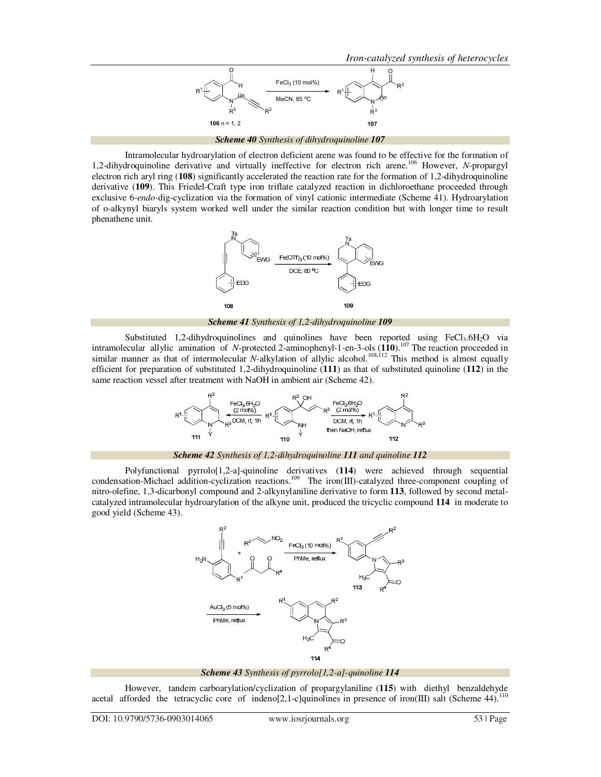*Iron-catalyzed synthesis of heterocycles* 



*Scheme 40 Synthesis of dihydroquinoline 107*

 Intramolecular hydroarylation of electron deficient arene was found to be effective for the formation of 1,2-dihydroquinoline derivative and virtually ineffective for electron rich arene.<sup>106</sup> However, *N*-propargyl electron rich aryl ring (**108**) significantly accelerated the reaction rate for the formation of 1,2-dihydroquinoline derivative (**109**). This Friedel-Craft type iron triflate catalyzed reaction in dichloroethane proceeded through exclusive 6-*endo-*dig-cyclization via the formation of vinyl cationic intermediate (Scheme 41). Hydroarylation of o-alkynyl biaryls system worked well under the similar reaction condition but with longer time to result phenathene unit.



*Scheme 41 Synthesis of 1,2-dihydroquinoline 109*

Substituted 1,2-dihydroquinolines and quinolines have been reported using  $FeCl<sub>3</sub>·6H<sub>2</sub>O$  via intramolecular allylic amination of *N*-protected 2-aminophenyl-1-en-3-ols (**110**).<sup>107</sup> The reaction proceeded in similar manner as that of intermolecular *N*-alkylation of allylic alcohol.<sup>108,112</sup> This method is almost equally efficient for preparation of substituted 1,2-dihydroquinoline (**111**) as that of substituted quinoline (**112**) in the same reaction vessel after treatment with NaOH in ambient air (Scheme 42).



*Scheme 42 Synthesis of 1,2-dihydroquinoline 111 and quinoline 112*

 Polyfunctional pyrrolo[1,2-a]-quinoline derivatives (**114**) were achieved through sequential condensation-Michael addition-cyclization reactions.<sup>109</sup> The iron(III)-catalyzed three-component coupling of nitro-olefine, 1,3-dicarbonyl compound and 2-alkynylaniline derivative to form **113**, followed by second metalcatalyzed intramolecular hydroarylation of the alkyne unit, produced the tricyclic compound **114** in moderate to good yield (Scheme 43).



*Scheme 43 Synthesis of pyrrolo[1,2-a]-quinoline 114*

 However, tandem carboarylation/cyclization of propargylaniline (**115**) with diethyl benzaldehyde acetal afforded the tetracyclic core of indeno[2,1-c]quinolines in presence of iron(III) salt (Scheme 44).<sup>110</sup>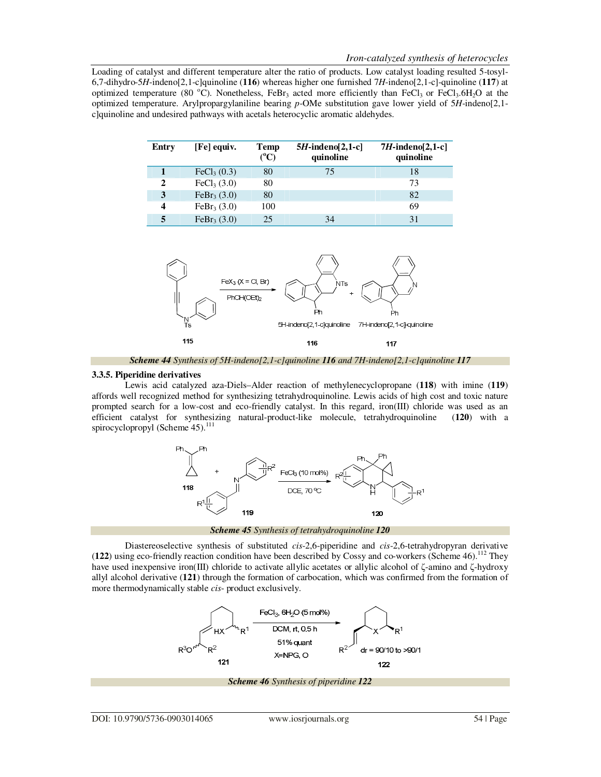Loading of catalyst and different temperature alter the ratio of products. Low catalyst loading resulted 5-tosyl-6,7-dihydro-5*H*-indeno[2,1-c]quinoline (**116**) whereas higher one furnished 7*H*-indeno[2,1-c]-quinoline (**117**) at optimized temperature (80 °C). Nonetheless, FeBr<sub>3</sub> acted more efficiently than FeCl<sub>3</sub> or FeCl<sub>3</sub>.6H<sub>2</sub>O at the optimized temperature. Arylpropargylaniline bearing *p*-OMe substitution gave lower yield of 5*H*-indeno[2,1 c]quinoline and undesired pathways with acetals heterocyclic aromatic aldehydes.

| Entry | [Fe] equiv.               | Temp<br>$(^{\circ}C)$ | $5H$ -indeno[2,1-c]<br>quinoline | $7H$ -indeno $[2,1-c]$<br>quinoline |
|-------|---------------------------|-----------------------|----------------------------------|-------------------------------------|
|       | FeCl <sub>3</sub> $(0.3)$ | 80                    | 75                               | 18                                  |
| 2     | FeCl <sub>3</sub> (3.0)   | 80                    |                                  | 73                                  |
| 3     | FeBr <sub>3</sub> $(3.0)$ | 80                    |                                  | 82                                  |
| 4     | FeBr <sub>3</sub> $(3.0)$ | 100                   |                                  | 69                                  |
|       | FeBr <sub>3</sub> $(3.0)$ | 25                    | 34                               | 31                                  |



*Scheme 44 Synthesis of 5H-indeno[2,1-c]quinoline 116 and 7H-indeno[2,1-c]quinoline 117*

## **3.3.5. Piperidine derivatives**

 Lewis acid catalyzed aza-Diels–Alder reaction of methylenecyclopropane (**118**) with imine (**119**) affords well recognized method for synthesizing tetrahydroquinoline. Lewis acids of high cost and toxic nature prompted search for a low-cost and eco-friendly catalyst. In this regard, iron(III) chloride was used as an efficient catalyst for synthesizing natural-product-like molecule, tetrahydroquinoline (**120**) with a spirocyclopropyl (Scheme  $45$ ).<sup>111</sup>



*Scheme 45 Synthesis of tetrahydroquinoline 120*

 Diastereoselective synthesis of substituted *cis*-2,6-piperidine and *cis*-2,6-tetrahydropyran derivative (122) using eco-friendly reaction condition have been described by Cossy and co-workers (Scheme 46).<sup>112</sup> They have used inexpensive iron(III) chloride to activate allylic acetates or allylic alcohol of ζ-amino and ζ-hydroxy allyl alcohol derivative (**121**) through the formation of carbocation, which was confirmed from the formation of more thermodynamically stable *cis*- product exclusively.

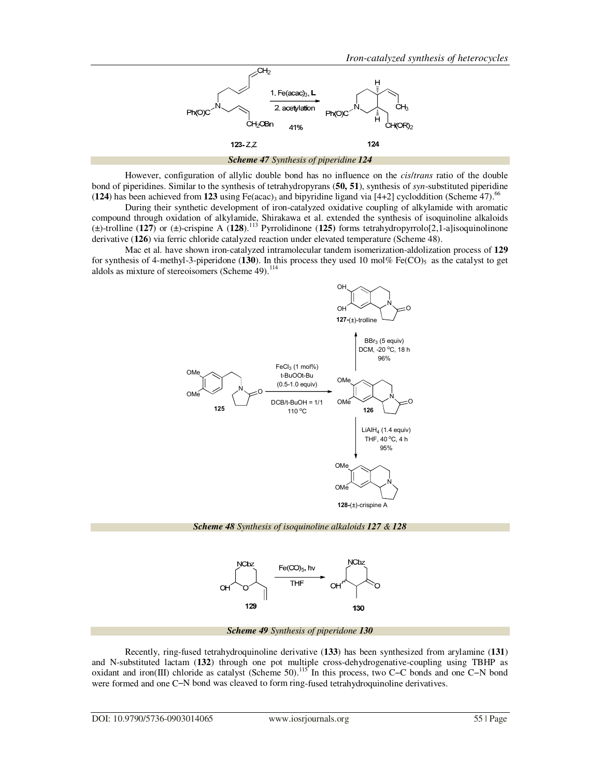

 However, configuration of allylic double bond has no influence on the *cis*/*trans* ratio of the double bond of piperidines. Similar to the synthesis of tetrahydropyrans (**50, 51**), synthesis of *syn*-substituted piperidine  $(124)$  has been achieved from 123 using Fe(acac)<sub>3</sub> and bipyridine ligand via [4+2] cycloddition (Scheme 47).<sup>66</sup>

 During their synthetic development of iron-catalyzed oxidative coupling of alkylamide with aromatic compound through oxidation of alkylamide, Shirakawa et al. extended the synthesis of isoquinoline alkaloids (±)-trolline (**127**) or (±)-crispine A (**128**).<sup>113</sup> Pyrrolidinone (**125)** forms tetrahydropyrrolo[2,1-a]isoquinolinone derivative (**126**) via ferric chloride catalyzed reaction under elevated temperature (Scheme 48).

 Mac et al*.* have shown iron-catalyzed intramolecular tandem isomerization-aldolization process of **129** for synthesis of 4-methyl-3-piperidone ( $130$ ). In this process they used 10 mol% Fe(CO)<sub>5</sub> as the catalyst to get aldols as mixture of stereoisomers (Scheme  $49$ ).<sup>114</sup>



*Scheme 48 Synthesis of isoquinoline alkaloids 127 & 128* 



*Scheme 49 Synthesis of piperidone 130*

 Recently, ring-fused tetrahydroquinoline derivative (**133**) has been synthesized from arylamine (**131**) and N-substituted lactam (**132**) through one pot multiple cross-dehydrogenative-coupling using TBHP as oxidant and iron(III) chloride as catalyst (Scheme 50).<sup>115</sup> In this process, two C−C bonds and one C−N bond were formed and one C−N bond was cleaved to form ring-fused tetrahydroquinoline derivatives.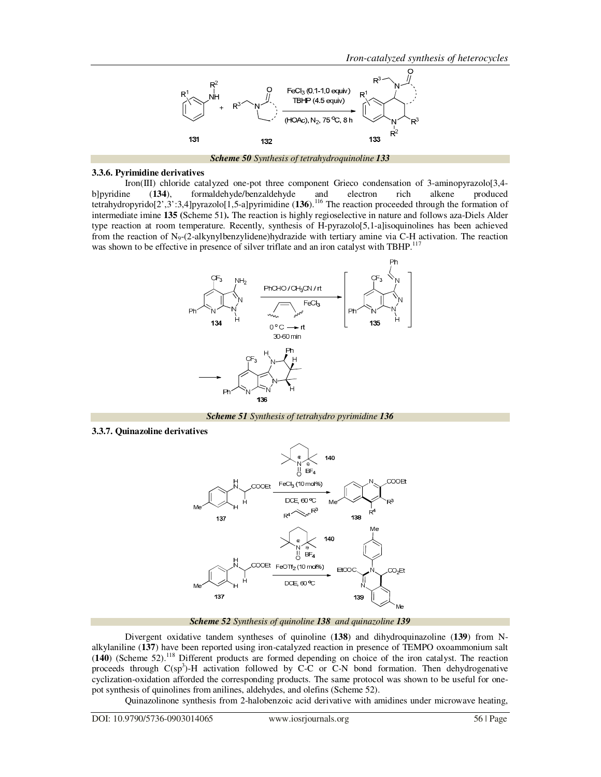

*Scheme 50 Synthesis of tetrahydroquinoline 133*

#### **3.3.6. Pyrimidine derivatives**

 Iron(III) chloride catalyzed one-pot three component Grieco condensation of 3-aminopyrazolo[3,4 b]pyridine (**134**), formaldehyde/benzaldehyde and electron rich alkene produced tetrahydropyrido[2',3':3,4]pyrazolo[1,5-a]pyrimidine (**136**).<sup>116</sup> The reaction proceeded through the formation of intermediate imine **135 (**Scheme 51**).** The reaction is highly regioselective in nature and follows aza-Diels Alder type reaction at room temperature. Recently, synthesis of H-pyrazolo[5,1-a]isoquinolines has been achieved from the reaction of N<sub>9</sub>-(2-alkynylbenzylidene)hydrazide with tertiary amine via C-H activation. The reaction was shown to be effective in presence of silver triflate and an iron catalyst with TBHP.<sup>117</sup>



*Scheme 51 Synthesis of tetrahydro pyrimidine 136*

**3.3.7. Quinazoline derivatives** 



*Scheme 52 Synthesis of quinoline 138 and quinazoline 139*

 Divergent oxidative tandem syntheses of quinoline (**138**) and dihydroquinazoline (**139**) from Nalkylaniline (**137**) have been reported using iron-catalyzed reaction in presence of TEMPO oxoammonium salt (**140**) (Scheme 52).<sup>118</sup> Different products are formed depending on choice of the iron catalyst. The reaction proceeds through  $C(sp^3)$ -H activation followed by C-C or C-N bond formation. Then dehydrogenative cyclization-oxidation afforded the corresponding products. The same protocol was shown to be useful for onepot synthesis of quinolines from anilines, aldehydes, and olefins (Scheme 52).

Quinazolinone synthesis from 2-halobenzoic acid derivative with amidines under microwave heating,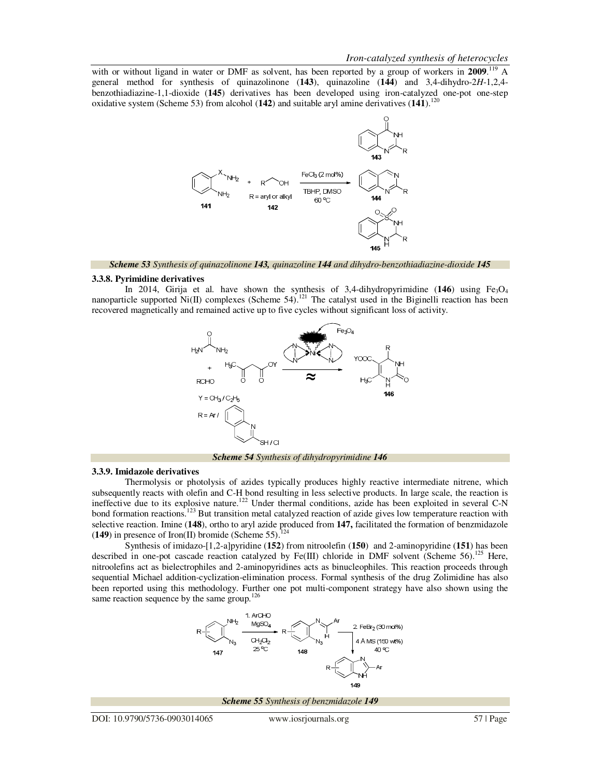with or without ligand in water or DMF as solvent, has been reported by a group of workers in 2009.<sup>119</sup> A general method for synthesis of quinazolinone (**143**), quinazoline (**144**) and 3,4-dihydro-2*H*-1,2,4 benzothiadiazine-1,1-dioxide (**145**) derivatives has been developed using iron-catalyzed one-pot one-step oxidative system (Scheme 53) from alcohol (142) and suitable aryl amine derivatives (141).<sup>120</sup>



*Scheme 53 Synthesis of quinazolinone 143, quinazoline 144 and dihydro-benzothiadiazine-dioxide 145*

#### **3.3.8. Pyrimidine derivatives**

In 2014, Girija et al. have shown the synthesis of 3,4-dihydropyrimidine (146) using Fe<sub>3</sub>O<sub>4</sub> nanoparticle supported Ni(II) complexes (Scheme 54).<sup>121</sup> The catalyst used in the Biginelli reaction has been recovered magnetically and remained active up to five cycles without significant loss of activity.



*Scheme 54 Synthesis of dihydropyrimidine 146*

#### **3.3.9. Imidazole derivatives**

 Thermolysis or photolysis of azides typically produces highly reactive intermediate nitrene, which subsequently reacts with olefin and C-H bond resulting in less selective products. In large scale, the reaction is ineffective due to its explosive nature.<sup>122</sup> Under thermal conditions, azide has been exploited in several C-N bond formation reactions.<sup>123</sup> But transition metal catalyzed reaction of azide gives low temperature reaction with selective reaction. Imine (**148**), ortho to aryl azide produced from **147,** facilitated the formation of benzmidazole  $(149)$  in presence of Iron(II) bromide (Scheme 55).<sup>1</sup>

 Synthesis of imidazo-[1,2-a]pyridine (**152**) from nitroolefin (**150**) and 2-aminopyridine (**151**) has been described in one-pot cascade reaction catalyzed by Fe(III) chloride in DMF solvent (Scheme 56).<sup>125</sup> Here, nitroolefins act as bielectrophiles and 2-aminopyridines acts as binucleophiles. This reaction proceeds through sequential Michael addition-cyclization-elimination process. Formal synthesis of the drug Zolimidine has also been reported using this methodology. Further one pot multi-component strategy have also shown using the same reaction sequence by the same group. $126$ 

> 1 ArCHC  $CH<sub>2</sub>Cl<sub>2</sub>$ 4 Å MS (150 wt%)  $259$ 148 149

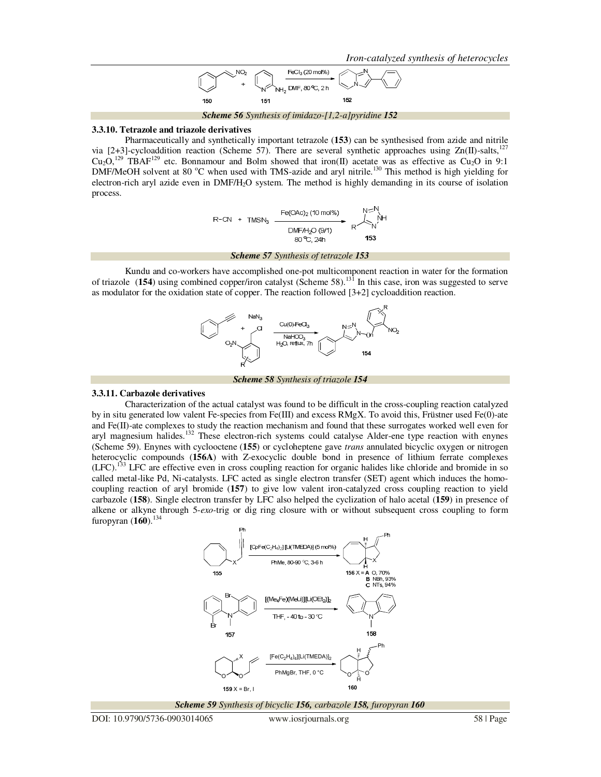*Iron-catalyzed synthesis of heterocycles* 



*Scheme 56 Synthesis of imidazo-[1,2-a]pyridine 152*

### **3.3.10. Tetrazole and triazole derivatives**

 Pharmaceutically and synthetically important tetrazole (**153**) can be synthesised from azide and nitrile via [2+3]-cycloaddition reaction (Scheme 57). There are several synthetic approaches using  $Zn(\Pi)$ -salts,<sup>1</sup>  $Cu<sub>2</sub>O<sub>2</sub><sup>129</sup>$  TBAF<sup>129</sup> etc. Bonnamour and Bolm showed that iron(II) acetate was as effective as Cu<sub>2</sub>O in 9:1 DMF/MeOH solvent at 80 °C when used with TMS-azide and aryl nitrile.<sup>130</sup> This method is high yielding for electron-rich aryl azide even in DMF/H2O system. The method is highly demanding in its course of isolation process.

$$
R-CN + TMSN_3 \xrightarrow{\text{Fe(OAc)}_2 (10 \text{ mol\%})
$$
\n
$$
DMF/H_2O (9/1)
$$
\n
$$
80 °C, 24 h
$$
\n153

*Scheme 57 Synthesis of tetrazole 153*

 Kundu and co-workers have accomplished one-pot multicomponent reaction in water for the formation of triazole (**154**) using combined copper/iron catalyst (Scheme 58).<sup>131</sup> In this case, iron was suggested to serve as modulator for the oxidation state of copper. The reaction followed [3+2] cycloaddition reaction.



*Scheme 58 Synthesis of triazole 154*

# **3.3.11. Carbazole derivatives**

 Characterization of the actual catalyst was found to be difficult in the cross-coupling reaction catalyzed by in situ generated low valent Fe-species from Fe(III) and excess RMgX. To avoid this, Früstner used Fe(0)-ate and Fe(II)-ate complexes to study the reaction mechanism and found that these surrogates worked well even for aryl magnesium halides.<sup>132</sup> These electron-rich systems could catalyse Alder-ene type reaction with enynes (Scheme 59). Enynes with cyclooctene (**155**) or cycloheptene gave *trans* annulated bicyclic oxygen or nitrogen heterocyclic compounds (**156A**) with Z-exocyclic double bond in presence of lithium ferrate complexes (LFC).<sup>133</sup> LFC are effective even in cross coupling reaction for organic halides like chloride and bromide in so called metal-like Pd, Ni-catalysts. LFC acted as single electron transfer (SET) agent which induces the homocoupling reaction of aryl bromide (**157**) to give low valent iron-catalyzed cross coupling reaction to yield carbazole (**158**). Single electron transfer by LFC also helped the cyclization of halo acetal (**159**) in presence of alkene or alkyne through 5-*exo-*trig or dig ring closure with or without subsequent cross coupling to form furopyran  $(160)$ .<sup>134</sup>



*Scheme 59 Synthesis of bicyclic 156, carbazole 158, furopyran 160* 

DOI: 10.9790/5736-0903014065 www.iosrjournals.org 58 | Page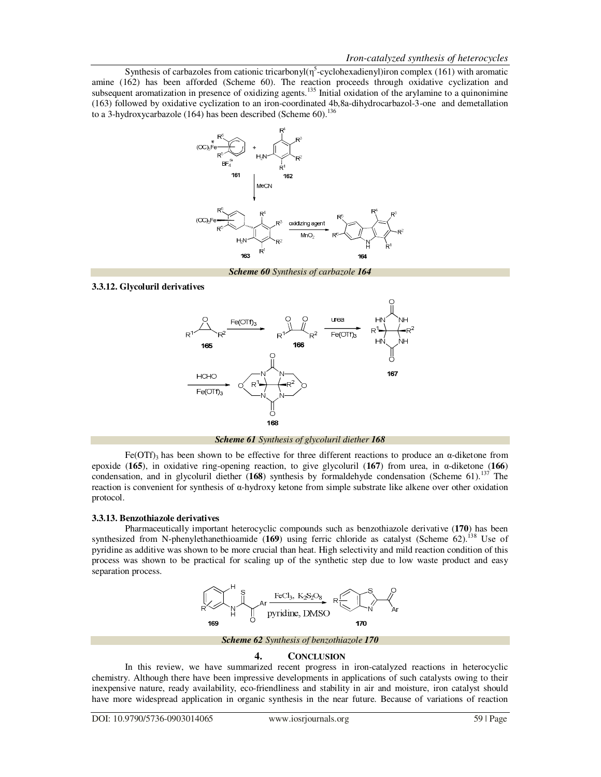Synthesis of carbazoles from cationic tricarbonyl( $\eta^5$ -cyclohexadienyl)iron complex (161) with aromatic amine (162) has been afforded (Scheme 60). The reaction proceeds through oxidative cyclization and subsequent aromatization in presence of oxidizing agents.<sup>135</sup> Initial oxidation of the arylamine to a quinonimine (163) followed by oxidative cyclization to an iron-coordinated 4b,8a-dihydrocarbazol-3-one and demetallation to a 3-hydroxycarbazole (164) has been described (Scheme 60).<sup>136</sup>



*Scheme 60 Synthesis of carbazole 164*

# **3.3.12. Glycoluril derivatives**



*Scheme 61 Synthesis of glycoluril diether 168* 

Fe(OTf)<sub>3</sub> has been shown to be effective for three different reactions to produce an  $\alpha$ -diketone from epoxide (**165**), in oxidative ring-opening reaction, to give glycoluril (**167**) from urea, in α-diketone (**166**) condensation, and in glycoluril diether (**168**) synthesis by formaldehyde condensation (Scheme 61).<sup>137</sup> The reaction is convenient for synthesis of α-hydroxy ketone from simple substrate like alkene over other oxidation protocol.

# **3.3.13. Benzothiazole derivatives**

 Pharmaceutically important heterocyclic compounds such as benzothiazole derivative (**170**) has been synthesized from N-phenylethanethioamide (169) using ferric chloride as catalyst (Scheme 62).<sup>138</sup> Use of pyridine as additive was shown to be more crucial than heat. High selectivity and mild reaction condition of this process was shown to be practical for scaling up of the synthetic step due to low waste product and easy separation process.



*Scheme 62 Synthesis of benzothiazole 170* 

# **4. CONCLUSION**

 In this review, we have summarized recent progress in iron-catalyzed reactions in heterocyclic chemistry. Although there have been impressive developments in applications of such catalysts owing to their inexpensive nature, ready availability, eco-friendliness and stability in air and moisture, iron catalyst should have more widespread application in organic synthesis in the near future. Because of variations of reaction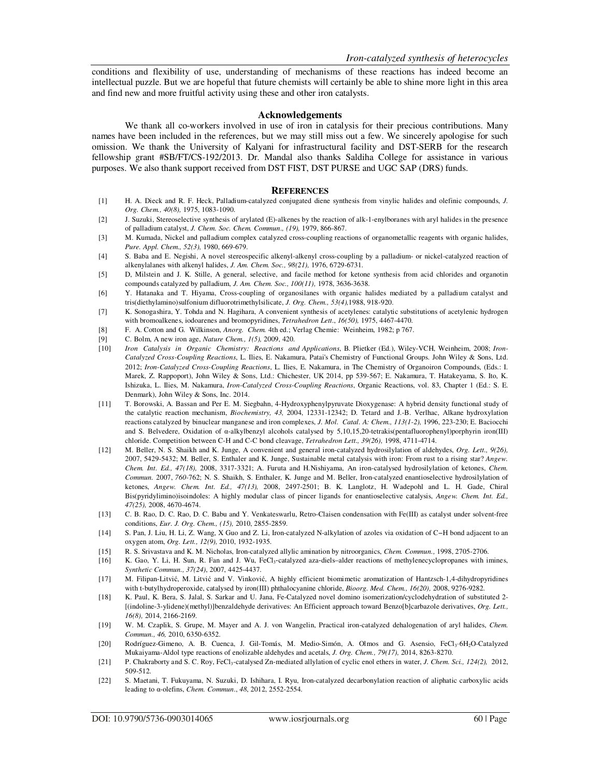conditions and flexibility of use, understanding of mechanisms of these reactions has indeed become an intellectual puzzle. But we are hopeful that future chemists will certainly be able to shine more light in this area and find new and more fruitful activity using these and other iron catalysts.

## **Acknowledgements**

We thank all co-workers involved in use of iron in catalysis for their precious contributions. Many names have been included in the references, but we may still miss out a few. We sincerely apologise for such omission. We thank the University of Kalyani for infrastructural facility and DST-SERB for the research fellowship grant #SB/FT/CS-192/2013. Dr. Mandal also thanks Saldiha College for assistance in various purposes. We also thank support received from DST FIST, DST PURSE and UGC SAP (DRS) funds.

### **REFERENCES**

- [1] H. A. Dieck and R. F. Heck, Palladium-catalyzed conjugated diene synthesis from vinylic halides and olefinic compounds, *J. Org. Chem., 40(8),* 1975, 1083-1090.
- [2] J. Suzuki, Stereoselective synthesis of arylated (E)-alkenes by the reaction of alk-1-enylboranes with aryl halides in the presence of palladium catalyst, *J. Chem. Soc. Chem. Commun*.*, (19),* 1979, 866-867.
- [3] M. Kumada, Nickel and palladium complex catalyzed cross-coupling reactions of organometallic reagents with organic halides, *Pure. Appl. Chem., 52(3),* 1980, 669-679.
- [4] S. Baba and E. Negishi, A novel stereospecific alkenyl-alkenyl cross-coupling by a palladium- or nickel-catalyzed reaction of alkenylalanes with alkenyl halides, *J. Am. Chem. Soc., 98(21),* 1976, 6729-6731.
- [5] D, Milstein and J. K. Stille, A general, selective, and facile method for ketone synthesis from acid chlorides and organotin compounds catalyzed by palladium, *J. Am. Chem. Soc., 100(11),* 1978, 3636-3638.
- [6] Y. Hatanaka and T. Hiyama, Cross-coupling of organosilanes with organic halides mediated by a palladium catalyst and tris(diethylamino)sulfonium difluorotrimethylsilicate, *J. Org. Chem., 53(4),*1988, 918-920.
- [7] K. Sonogashira, Y. Tohda and N. Hagihara, A convenient synthesis of acetylenes: catalytic substitutions of acetylenic hydrogen with bromoalkenes, iodoarenes and bromopyridines, *Tetrahedron Lett*., *16(50),* 1975, 4467-4470.
- [8] F. A. Cotton and G. Wilkinson, *Anorg. Chem.* 4th ed.; Verlag Chemie: Weinheim, 1982; p 767.
- [9] C. Bolm, A new iron age, *Nature Chem., 1(5),* 2009, 420.
- [10] *Iron Catalysis in Organic Chemistry: Reactions and Applications*, B. Plietker (Ed.), Wiley-VCH, Weinheim, 2008; *Iron-Catalyzed Cross-Coupling Reactions*, L. Ilies, E. Nakamura, Patai's Chemistry of Functional Groups. John Wiley & Sons, Ltd. 2012; *Iron-Catalyzed Cross-Coupling Reactions*, L. Ilies, E. Nakamura, in The Chemistry of Organoiron Compounds, (Eds.: I. Marek, Z. Rappoport), John Wiley & Sons, Ltd.: Chichester, UK 2014, pp 539-567; E. Nakamura, T. Hatakeyama, S. Ito, K. Ishizuka, L. Ilies, M. Nakamura, *Iron-Catalyzed Cross-Coupling Reactions*, Organic Reactions, vol. 83, Chapter 1 (Ed.: S. E. Denmark), John Wiley & Sons, Inc. 2014.
- [11] T. Borowski, A. Bassan and Per E. M. Siegbahn, 4-Hydroxyphenylpyruvate Dioxygenase: A hybrid density functional study of the catalytic reaction mechanism, *Biochemistry, 43,* 2004, 12331-12342; D. Tetard and J.-B. Verlhac, Alkane hydroxylation reactions catalyzed by binuclear manganese and iron complexes, *J. Mol. Catal. A: Chem., 113(1-2),* 1996, 223-230; E. Baciocchi and S. Belvedere, Oxidation of α-alkylbenzyl alcohols catalysed by 5,10,15,20-tetrakis(pentafluorophenyl)porphyrin iron(III) chloride. Competition between C-H and C-C bond cleavage, *Tetrahedron Lett., 39(26),* 1998, 4711-4714.
- [12] M. Beller, N. S. Shaikh and K. Junge, A convenient and general iron-catalyzed hydrosilylation of aldehydes, *Org. Lett., 9(26),* 2007, 5429-5432; M. Beller, S. Enthaler and K. Junge, Sustainable metal catalysis with iron: From rust to a rising star? *Angew. Chem. Int. Ed., 47(18),* 2008, 3317-3321; A. Furuta and H.Nishiyama, An iron-catalysed hydrosilylation of ketones, *Chem. Commun.* 2007, *760-*762; N. S. Shaikh, S. Enthaler, K. Junge and M. Beller, Iron-catalyzed enantioselective hydrosilylation of ketones, *Angew. Chem. Int. Ed., 47(13),* 2008, 2497-2501; B. K. Langlotz, H. Wadepohl and L. H. Gade, Chiral Bis(pyridylimino)isoindoles: A highly modular class of pincer ligands for enantioselective catalysis, *Angew. Chem. Int. Ed., 47(25),* 2008, 4670-4674.
- [13] C. B. Rao, D. C. Rao, D. C. Babu and Y. Venkateswarlu, Retro-Claisen condensation with Fe(III) as catalyst under solvent-free conditions, *Eur. J. Org. Chem., (15),* 2010, 2855-2859.
- [14] S. Pan, J. Liu, H. Li, Z. Wang, X Guo and Z. Li, Iron-catalyzed N-alkylation of azoles via oxidation of C−H bond adjacent to an oxygen atom, *Org. Lett., 12(9),* 2010, 1932-1935.
- [15] R. S. Srivastava and K. M. Nicholas, Iron-catalyzed allylic amination by nitroorganics, *Chem. Commun.,* 1998, 2705-2706.
- [16] K. Gao, Y. Li, H. Sun, R. Fan and J. Wu, FeCl<sub>3</sub>-catalyzed aza-diels-alder reactions of methylenecyclopropanes with imines, *Synthetic Commun., 37(24)*, 2007, 4425-4437.
- [17] M. Filipan-Litvić, M. Litvić and V. Vinković, A highly efficient biomimetic aromatization of Hantzsch-1,4-dihydropyridines with t-butylhydroperoxide, catalysed by iron(III) phthalocyanine chloride, *Bioorg. Med. Chem., 16(20),* 2008, 9276-9282.
- [18] K. Paul, K. Bera, S. Jalal, S. Sarkar and U. Jana, Fe-Catalyzed novel domino isomerization/cyclodehydration of substituted 2- [(indoline-3-ylidene)(methyl)]benzaldehyde derivatives: An Efficient approach toward Benzo[b]carbazole derivatives, *Org. Lett., 16(8),* 2014, 2166-2169.
- [19] W. M. Czaplik, S. Grupe, M. Mayer and A. J. von Wangelin, Practical iron-catalyzed dehalogenation of aryl halides, *Chem. Commun., 46,* 2010, 6350-6352.
- [20] Rodríguez-Gimeno, A. B. Cuenca, J. Gil-Tomás, M. Medio-Simón, A. Olmos and G. Asensio, FeCl3·6H2O-Catalyzed Mukaiyama-Aldol type reactions of enolizable aldehydes and acetals, *J. Org. Chem., 79(17),* 2014, 8263-8270.
- [21] P. Chakraborty and S. C. Roy, FeCl<sub>3</sub>-catalysed Zn-mediated allylation of cyclic enol ethers in water, *J. Chem. Sci., 124(2), 2012*, 509-512.
- [22] S. Maetani, T. Fukuyama, N. Suzuki, D. Ishihara, I. Ryu, Iron-catalyzed decarbonylation reaction of aliphatic carboxylic acids leading to α-olefins, *Chem. Commun*., *48*, 2012, 2552-2554.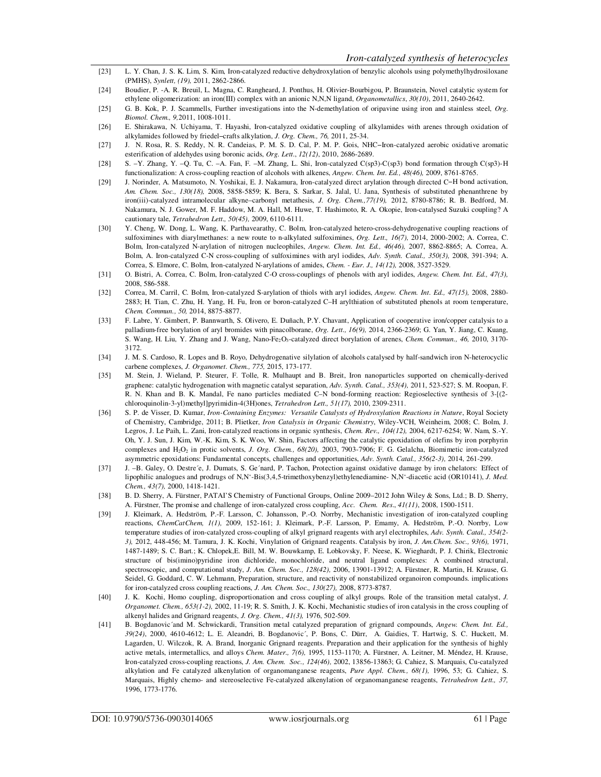- [23] L. Y. Chan, J. S. K. Lim, S. Kim, Iron-catalyzed reductive dehydroxylation of benzylic alcohols using polymethylhydrosiloxane (PMHS), *Synlett, (19),* 2011, 2862-2866.
- [24] Boudier, P. -A. R. Breuil, L. Magna, C. Rangheard, J. Ponthus, H. Olivier-Bourbigou, P. Braunstein, Novel catalytic system for ethylene oligomerization: an iron(III) complex with an anionic N,N,N ligand, *Organometallics*, *30(10)*, 2011, 2640-2642.
- [25] G. B. Kok, P. J. Scammells, Further investigations into the N-demethylation of oripavine using iron and stainless steel, *Org. Biomol. Chem., 9,*2011, 1008-1011.
- [26] E. Shirakawa, N. Uchiyama, T. Hayashi, Iron-catalyzed oxidative coupling of alkylamides with arenes through oxidation of alkylamides followed by friedel−crafts alkylation, *J. Org. Chem., 76,* 2011, 25-34.
- [27] J. N. Rosa, R. S. Reddy, N. R. Candeias, P. M. S. D. Cal, P. M. P. Gois, NHC−Iron-catalyzed aerobic oxidative aromatic esterification of aldehydes using boronic acids, *Org. Lett*., *12(12)*, 2010, 2686-2689.
- [28] S. –Y. Zhang, Y. –Q. Tu, C. –A. Fan, F. –M. Zhang, L. Shi, Iron-catalyzed C(sp3)-C(sp3) bond formation through C(sp3)-H functionalization: A cross-coupling reaction of alcohols with alkenes, *Angew. Chem. Int. Ed., 48(46),* 2009, 8761-8765.
- [29] J. Norinder, A. Matsumoto, N. Yoshikai, E. J. Nakamura, Iron-catalyzed direct arylation through directed C−H bond activation, *Am. Chem. Soc., 130(18),* 2008, 5858-5859; K. Bera, S. Sarkar, S. Jalal, U. Jana, Synthesis of substituted phenanthrene by iron(iii)-catalyzed intramolecular alkyne–carbonyl metathesis, *J. Org. Chem.,77(19),* 2012, 8780-8786; R. B. Bedford, M. Nakamura, N. J. Gower, M. F. Haddow, M. A. Hall, M. Huwe, T. Hashimoto, R. A. Okopie, Iron-catalysed Suzuki coupling? A cautionary tale, *Tetrahedron Lett., 50(45),* 2009, 6110-6111.
- [30] Y. Cheng, W. Dong, L. Wang, K. Parthavearathy, C. Bolm, Iron-catalyzed hetero-cross-dehydrogenative coupling reactions of sulfoximines with diarylmethanes: a new route to n-alkylated sulfoximines, *Org. Lett., 16(7),* 2014, 2000-2002; A. Correa, C. Bolm, Iron-catalyzed N-arylation of nitrogen nucleophiles, *Angew. Chem. Int. Ed., 46(46),* 2007, 8862-8865; A. Correa, A. Bolm, A. Iron-catalyzed C-N cross-coupling of sulfoximines with aryl iodides, *Adv. Synth. Catal., 350(3),* 2008, 391-394; A. Correa, S. Elmore, C. Bolm, Iron-catalyzed N-arylations of amides, *Chem. - Eur. J., 14(12),* 2008, 3527-3529.
- [31] O. Bistri, A. Correa, C. Bolm, Iron-catalyzed C-O cross-couplings of phenols with aryl iodides, *Angew. Chem. Int. Ed., 47(3),*  2008, 586-588.
- [32] Correa, M. Carril, C. Bolm, Iron-catalyzed S-arylation of thiols with aryl iodides, *Angew. Chem. Int. Ed., 47(15),* 2008, 2880- 2883; H. Tian, C. Zhu, H. Yang, H. Fu, Iron or boron-catalyzed C–H arylthiation of substituted phenols at room temperature, *Chem. Commun., 50,* 2014, 8875-8877.
- [33] F. Labre, Y. Gimbert, P. Bannwarth, S. Olivero, E. Duñach, P.Y. Chavant, Application of cooperative iron/copper catalysis to a palladium-free borylation of aryl bromides with pinacolborane, *Org. Lett., 16(9),* 2014, 2366-2369; G. Yan, Y. Jiang, C. Kuang, S. Wang, H. Liu, Y. Zhang and J. Wang, Nano-Fe<sub>2</sub>O<sub>3</sub>-catalyzed direct borylation of arenes, *Chem. Commun., 46, 2010, 3170-*3172.
- [34] J. M. S. Cardoso, R. Lopes and B. Royo, Dehydrogenative silylation of alcohols catalysed by half-sandwich iron N-heterocyclic carbene complexes, *J. Organomet. Chem., 775,* 2015, 173-177.
- [35] M. Stein, J. Wieland, P. Steurer, F. Tolle, R. Mulhaupt and B. Breit, Iron nanoparticles supported on chemically-derived graphene: catalytic hydrogenation with magnetic catalyst separation, *Adv. Synth. Catal., 353(4),* 2011, 523-527; S. M. Roopan, F. R. N. Khan and B. K. Mandal, Fe nano particles mediated C–N bond-forming reaction: Regioselective synthesis of 3-[(2 chloroquinolin-3-yl)methyl]pyrimidin-4(3H)ones, *Tetrahedron Lett., 51(17),* 2010, 2309-2311.
- [36] S. P. de Visser, D. Kumar, *Iron-Containing Enzymes: Versatile Catalysts of Hydroxylation Reactions in Nature*, Royal Society of Chemistry, Cambridge, 2011; B. Plietker, *Iron Catalysis in Organic Chemistry*, Wiley-VCH, Weinheim, 2008; C. Bolm, J. Legros, J. Le Paih, L. Zani, Iron-catalyzed reactions in organic synthesis, *Chem. Rev., 104(12),* 2004, 6217-6254; W. Nam, S.-Y. Oh, Y. J. Sun, J. Kim, W.-K. Kim, S. K. Woo, W. Shin, Factors affecting the catalytic epoxidation of olefins by iron porphyrin complexes and H2O2 in protic solvents, *J. Org. Chem., 68(20),* 2003, 7903-7906; F. G. Gelalcha, Biomimetic iron-catalyzed asymmetric epoxidations: Fundamental concepts, challenges and opportunities, *Adv. Synth. Catal., 356(2-3),* 2014, 261-299.
- [37] J. –B. Galey, O. Destre´e, J. Dumats, S. Ge´nard, P. Tachon, Protection against oxidative damage by iron chelators: Effect of lipophilic analogues and prodrugs of N,N'-Bis(3,4,5-trimethoxybenzyl)ethylenediamine- N,N'-diacetic acid (OR10141), *J. Med. Chem., 43(7),* 2000, 1418-1421.
- [38] B. D. Sherry, A. Fürstner, PATAI'S Chemistry of Functional Groups, Online 2009–2012 John Wiley & Sons, Ltd.; B. D. Sherry, A. Fürstner, The promise and challenge of iron-catalyzed cross coupling, *Acc. Chem. Res*., *41(11)*, 2008, 1500-1511.
- [39] J. Kleimark, A. Hedström, P.-F. Larsson, C. Johansson, P.-O. Norrby, Mechanistic investigation of iron-catalyzed coupling reactions, *ChemCatChem, 1(1),* 2009, 152-161; J. Kleimark, P.-F. Larsson, P. Emamy, A. Hedström, P.-O. Norrby, Low temperature studies of iron-catalyzed cross-coupling of alkyl grignard reagents with aryl electrophiles, *Adv. Synth. Catal., 354(2- 3),* 2012, 448-456; M. Tamura, J. K. Kochi, Vinylation of Grignard reagents. Catalysis by iron, *J. Am.Chem. Soc., 93(6),* 1971, 1487-1489; S. C. Bart.; K. Chlopek,E. Bill, M. W. Bouwkamp, E. Lobkovsky, F. Neese, K. Wieghardt, P. J. Chirik, Electronic structure of bis(imino)pyridine iron dichloride, monochloride, and neutral ligand complexes: A combined structural, spectroscopic, and computational study, *J. Am. Chem. Soc., 128(42),* 2006, 13901-13912; A. Fürstner, R. Martin, H. Krause, G. Seidel, G. Goddard, C. W. Lehmann, Preparation, structure, and reactivity of nonstabilized organoiron compounds. implications for iron-catalyzed cross coupling reactions, *J. Am. Chem. Soc., 130(27),* 2008, 8773-8787.
- [40] J. K. Kochi, Homo coupling, disproportionation and cross coupling of alkyl groups. Role of the transition metal catalyst, *J. Organomet. Chem., 653(1-2),* 2002, 11-19; R. S. Smith, J. K. Kochi, Mechanistic studies of iron catalysis in the cross coupling of alkenyl halides and Grignard reagents, *J. Org. Chem., 41(3),* 1976, 502-509.
- [41] B. Bogdanovic´and M. Schwickardi, Transition metal catalyzed preparation of grignard compounds, *Angew. Chem. Int. Ed., 39(24)*, 2000, 4610-4612; L. E. Aleandri, B. Bogdanovic´, P. Bons, C. Dürr, A. Gaidies, T. Hartwig, S. C. Huckett, M. Lagarden, U. Wilczok, R. A. Brand, Inorganic Grignard reagents. Preparation and their application for the synthesis of highly active metals, intermetallics, and alloys *Chem. Mater., 7(6),* 1995, 1153-1170; A. Fürstner, A. Leitner, M. Méndez, H. Krause, Iron-catalyzed cross-coupling reactions, *J. Am. Chem. Soc., 124(46),* 2002, 13856-13863; G. Cahiez, S. Marquais, Cu-catalyzed alkylation and Fe catalyzed alkenylation of organomanganese reagents, *Pure Appl. Chem., 68(1),* 1996, 53; G. Cahiez, S. Marquais, Highly chemo- and stereoselective Fe-catalyzed alkenylation of organomanganese reagents, *Tetrahedron Lett., 37,* 1996, 1773-1776.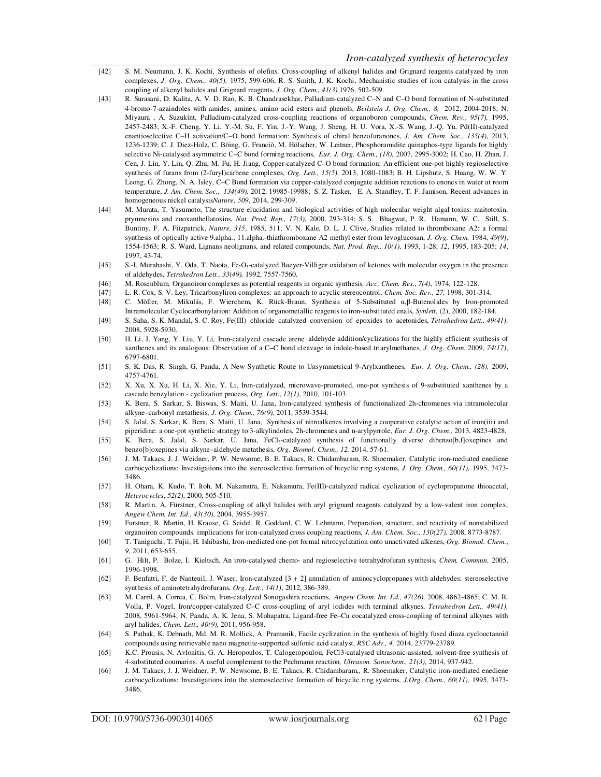- [42] S. M. Neumann, J. K. Kochi, Synthesis of olefins. Cross-coupling of alkenyl halides and Grignard reagents catalyzed by iron complexes, *J. Org. Chem., 40(5),* 1975, 599-606; R. S. Smith, J. K. Kochi, Mechanistic studies of iron catalysis in the cross coupling of alkenyl halides and Grignard reagents, *J. Org. Chem., 41(3),*1976, 502-509.
- [43] R. Surasani, D. Kalita, A. V. D. Rao, K. B. Chandrasekhar, Palladium-catalyzed C–N and C–O bond formation of N-substituted 4-bromo-7-azaindoles with amides, amines, amino acid esters and phenols, *Beilstein J. Org. Chem., 8,* 2012, 2004-2018; N. Miyaura , A. Suzukίnt, Palladium-catalyzed cross-coupling reactions of organoboron compounds, *Chem. Rev., 95(7),* 1995, 2457-2483; X.-F. Cheng, Y. Li, Y.-M. Su, F. Yin, J.-Y. Wang, J. Sheng, H. U. Vora, X.-S. Wang, J.-Q. Yu, Pd(II)-catalyzed enantioselective C–H activation/C–O bond formation: Synthesis of chiral benzofuranones, *J. Am. Chem. Soc., 135(4),* 2013, 1236-1239; C. J. Diez-Holz, C. Böing, G. Franciò, M. Hölscher, W. Leitner, Phosphoramidite quinaphos-type ligands for highly selective Ni-catalysed asymmetric C–C bond forming reactions, *Eur. J. Org. Chem., (18),* 2007, 2995-3002; H. Cao, H. Zhan, J. Cen, J. Lin, Y. Lin, Q. Zhu, M. Fu, H. Jiang, Copper-catalyzed C–O bond formation: An efficient one-pot highly regioselective synthesis of furans from (2-furyl)carbene complexes, *Org. Lett., 15(5),* 2013, 1080-1083; B. H. Lipshutz, S. Huang, W. W. Y. Leong, G. Zhong, N. A. Isley, C–C Bond formation via copper-catalyzed conjugate addition reactions to enones in water at room temperature, *J. Am. Chem. Soc., 134(49),* 2012, 19985-19988; S. Z. Tasker, E. A. Standley, T. F. Jamison, Recent advances in homogeneous nickel catalysis*Nature*, *509*, 2014, 299-309.
- [44] M. Murata, T. Yasumoto, The structure elucidation and biological activities of high molecular weight algal toxins: maitotoxin, prymnesins and zooxanthellatoxins, *Nat. Prod. Rep., 17(3),* 2000, 293-314; S. S. Bhagwat, P. R. Hamann, W. C. Still, S. Buntiny, F. A. Fitzpatrick, *Nature*, *315*, 1985, 511; V. N. Kale, D. L. J. Clive, Studies related to thromboxane A2: a formal synthesis of optically active 9.alpha., 11.alpha.-thiathromboxane A2 methyl ester from levoglucosan, *J. Org. Chem.* 1984, *49(9)*, 1554-1563; R. S. Ward, Lignans neolignans, and related compounds, *Nat. Prod. Rep., 10(1),* 1993, 1-28; *12*, 1995, 183-205; *14*, 1997, 43-74.
- [45] S.-I. Murahashi, Y. Oda, T. Naota, Fe<sub>2</sub>O<sub>3</sub>-catalyzed Baeyer-Villiger oxidation of ketones with molecular oxygen in the presence of aldehydes, *Tetrahedron Lett., 33(49),* 1992, 7557-7560.
- [46] M. Rosenblum*,* Organoiron complexes as potential reagents in organic synthesis*, Acc. Chem. Res*., *7(4)*, 1974, 122-128.
- [47] L. R. Cox, S. V. Ley, Tricarbonyliron complexes: an approach to acyclic stereocontrol, *Chem. Soc. Rev., 27,* 1998, 301-314.
- [48] C. Möller, M. Mikulás, F. Wierchem, K. Rück-Braun, Synthesis of 5-Substituted α,β-Butenolides by Iron-promoted Intramolecular Cyclocarbonylation: Addition of organometallic reagents to iron-substituted enals, *Synlett*, (2), 2000, 182-184.
- [49] S. Saha, S. K. Mandal, S. C. Roy, Fe(III) chloride catalyzed conversion of epoxides to acetonides, *Tetrahedron Lett., 49(41),* 2008, 5928-5930.
- [50] H. Li, J. Yang, Y. Liu, Y. Li*,* Iron-catalyzed cascade arene−aldehyde addition/cyclizations for the highly efficient synthesis of xanthenes and its analogous: Observation of a C−C bond cleavage in indole-based triarylmethanes, *J. Org. Chem.* 2009, *74(17)*, 6797-6801.
- [51] S. K. Das, R. Singh, G. Panda, A New Synthetic Route to Unsymmetrical 9-Arylxanthenes, *Eur. J. Org. Chem., (28),* 2009, 4757-4761.
- [52] X. Xu, X. Xu, H. Li, X. Xie, Y. Li, Iron-catalyzed, microwave-promoted, one-pot synthesis of 9-substituted xanthenes by a cascade benzylation - cyclization process, *Org. Lett*., *12(1)*, 2010, 101-103.
- [53] K. Bera, S. Sarkar, S. Biswas, S. Maiti, U. Jana, Iron-catalyzed synthesis of functionalized 2h-chromenes via intramolecular alkyne−carbonyl metathesis, *J. Org. Chem., 76(9),* 2011, 3539-3544.
- [54] S. Jalal, S. Sarkar, K. Bera, S. Maiti, U. Jana, Synthesis of nitroalkenes involving a cooperative catalytic action of iron(iii) and piperidine: a one-pot synthetic strategy to 3-alkylindoles, 2h-chromenes and n-arylpyrrole, *Eur. J. Org. Chem.,* 2013, 4823-4828.
- [55] K. Bera, S. Jalal, S. Sarkar, U. Jana, FeCl<sub>3</sub>-catalyzed synthesis of functionally diverse dibenzo[b,f]oxepines and benzo[b]oxepines via alkyne–aldehyde metathesis, *Org. Biomol. Chem., 12,* 2014, 57-61.
- [56] J. M. Takacs, J. J. Weidner, P. W. Newsome, B. E. Takacs, R. Chidambaram, R. Shoemaker, Catalytic iron-mediated enediene carbocyclizations: Investigations into the stereoselective formation of bicyclic ring systems, *J. Org. Chem., 60(11),* 1995, 3473- 3486.
- [57] H. Ohara, K. Kudo, T. Itoh, M. Nakamura, E. Nakamura, Fe(III)-catalyzed radical cyclization of cyclopropanone thioacetal, *Heterocycles*, *52(2)*, 2000, 505-510.
- [58] R. Martin, A. Fürstner, Cross-coupling of alkyl halides with aryl grignard reagents catalyzed by a low-valent iron complex, *Angew Chem. Int. Ed*., *43(30)*, 2004, 3955-3957.
- [59] Furstner, R. Martin, H. Krause, G. Seidel, R. Goddard, C. W. Lehmann, Preparation, structure, and reactivity of nonstabilized organoiron compounds. implications for iron-catalyzed cross coupling reactions, *J. Am. Chem. Soc., 130(27),* 2008, 8773-8787.
- [60] T. Taniguchi, T. Fujii, H. Ishibashi, Iron-mediated one-pot formal nitrocyclization onto unactivated alkenes, *Org. Biomol. Chem*., *9*, 2011, 653-655.
- [61] G. Hilt, P. Bolze, I. Kieltsch, An iron-catalysed chemo- and regioselective tetrahydrofuran synthesis, *Chem. Commun.* 2005, 1996-1998.
- [62] F. Benfatti, F. de Nanteuil, J. Waser, Iron*-*catalyzed [3 + 2] annulation of aminocyclopropanes with aldehydes: stereoselective synthesis of aminotetrahydrofurans, *Org. Lett*., *14(1)*, 2012, 386-389.
- [63] M. Carril, A. Correa, C. Bolm, Iron-catalyzed Sonogashira reactions, *Angew Chem. Int. Ed., 47(26),* 2008, 4862-4865; C. M. R. Volla, P. Vogel, Iron/copper-catalyzed C–C cross-coupling of aryl iodides with terminal alkynes, *Tetrahedron Lett., 49(41),* 2008, 5961-5964; N. Panda, A. K. Jena, S. Mohapatra, Ligand-free Fe–Cu cocatalyzed cross-coupling of terminal alkynes with aryl halides, *Chem. Lett., 40(9),* 2011, 956-958.
- [64] S. Pathak, K. Debnath, Md. M. R. Mollick, A. Pramanik, Facile cyclization in the synthesis of highly fused diaza cyclooctanoid compounds using retrievable nano magnetite-supported sulfonic acid catalyst, *RSC Adv., 4,* 2014, 23779-23789.
- [65] K.C. Prousis, N. Avlonitis, G. A. Heropoulos, T. Calogeropoulou, FeCl3-catalysed ultrasonic-assisted, solvent-free synthesis of 4-substituted coumarins. A useful complement to the Pechmann reaction*, Ultrason. Sonochem., 21(3),* 2014, 937-942.
- [66] J. M. Takacs, J. J. Weidner, P. W. Newsome, B. E. Takacs, R. Chidambaram,, R. Shoemaker, Catalytic iron-mediated enediene carbocyclizations: Investigations into the stereoselective formation of bicyclic ring systems, *J.Org. Chem., 60(11),* 1995, 3473- 3486.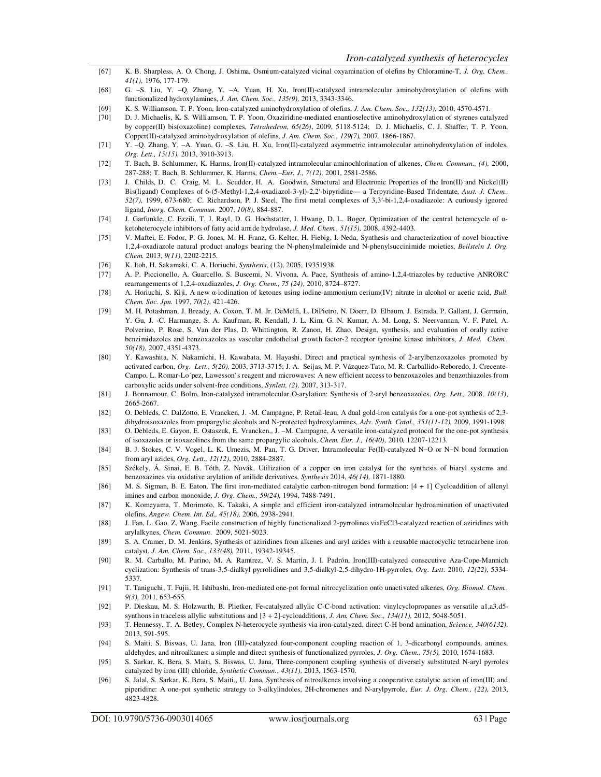- [67] K. B. Sharpless, A. O. Chong, J. Oshima, Osmium-catalyzed vicinal oxyamination of olefins by Chloramine-T, *J. Org. Chem., 41(1),* 1976, 177-179.
- [68] G. –S. Liu, Y. –Q. Zhang, Y. –A. Yuan, H. Xu, Iron(II)-catalyzed intramolecular aminohydroxylation of olefins with functionalized hydroxylamines, *J. Am. Chem. Soc., 135(9),* 2013, 3343-3346.
- [69] K. S. Williamson, T. P. Yoon, Iron-catalyzed aminohydroxylation of olefins, *J. Am. Chem. Soc., 132(13),* 2010, 4570-4571.
- [70] D. J. Michaelis, K. S. Williamson, T. P. Yoon, Oxaziridine-mediated enantioselective aminohydroxylation of styrenes catalyzed by copper(II) bis(oxazoline) complexes, *Tetrahedron*, *65(26)*, 2009, 5118-5124; D. J. Michaelis, C. J. Shaffer, T. P. Yoon, Copper(II)-catalyzed aminohydroxylation of olefins, *J. Am. Chem. Soc., 129(7),* 2007, 1866-1867.
- [71] Y. –Q. Zhang, Y. –A. Yuan, G. –S. Liu, H. Xu, Iron(II)-catalyzed asymmetric intramolecular aminohydroxylation of indoles, *Org. Lett., 15(15),* 2013, 3910-3913.
- [72] T. Bach, B. Schlummer, K. Harms, Iron(II)-catalyzed intramolecular aminochlorination of alkenes, *Chem. Commun., (4),* 2000, 287-288; T. Bach, B. Schlummer, K. Harms, *Chem.–Eur. J., 7(12),* 2001, 2581-2586.
- [73] J. Childs, D. C. Craig, M. L. Scudder, H. A. Goodwin, Structural and Electronic Properties of the Iron(II) and Nickel(II) Bis(ligand) Complexes of 6-(5-Methyl-1,2,4-oxadiazol-3-yl)-2,2′-bipyridine— a Terpyridine-Based Tridentate, *Aust. J. Chem., 52(7),* 1999, 673-680; C. Richardson, P. J. Steel, The first metal complexes of 3,3′-bi-1,2,4-oxadiazole: A curiously ignored ligand, *Inorg. Chem. Commun.* 2007, *10(8)*, 884-887.
- [74] J. Garfunkle, C. Ezzili, T. J. Rayl, D. G. Hochstatter, I. Hwang, D. L. Boger, Optimization of the central heterocycle of αketoheterocycle inhibitors of fatty acid amide hydrolase, *J. Med. Chem., 51(15),* 2008, 4392-4403.
- [75] V. Maftei, E. Fodor, P. G. Jones, M. H. Franz, G. Kelter, H. Fiebig, I. Neda, Synthesis and characterization of novel bioactive 1,2,4-oxadiazole natural product analogs bearing the N-phenylmaleimide and N-phenylsuccinimide moieties, *Beilstein J. Org. Chem.* 2013, *9(11)*, 2202-2215.
- [76] K. Itoh, H. Sakamaki, C. A. Horiuchi, *Synthesis*, (12), 2005, 19351938.
- [77] A. P. Piccionello, A. Guarcello, S. Buscemi, N. Vivona, A. Pace, Synthesis of amino-1,2,4-triazoles by reductive ANRORC rearrangements of 1,2,4-oxadiazoles, *J. Org. Chem., 75 (24),* 2010, 8724–8727.
- [78] A. Horiuchi, S. Kiji, A new α-iodination of ketones using iodine-ammonium cerium(IV) nitrate in alcohol or acetic acid, *Bull. Chem. Soc. Jpn.* 1997, *70(2)*, 421-426.
- [79] M. H. Potashman, J. Bready, A. Coxon, T. M. Jr. DeMelfi, L. DiPietro, N. Doerr, D. Elbaum, J. Estrada, P. Gallant, J. Germain, Y. Gu, J. -C. Harmange, S. A. Kaufman, R. Kendall, J. L. Kim, G. N. Kumar, A. M. Long, S. Neervannan, V. F. Patel, A. Polverino, P. Rose, S. Van der Plas, D. Whittington, R. Zanon, H. Zhao, Design, synthesis, and evaluation of orally active benzimidazoles and benzoxazoles as vascular endothelial growth factor-2 receptor tyrosine kinase inhibitors, *J. Med. Chem., 50(18),* 2007, 4351-4373.
- [80] Y. Kawashita, N. Nakamichi, H. Kawabata, M. Hayashi, Direct and practical synthesis of 2-arylbenzoxazoles promoted by activated carbon, *Org. Lett., 5(20),* 2003, 3713-3715; J. A. Seijas, M. P. Vázquez-Tato, M. R. Carballido-Reboredo, J. Crecente-Campo, L. Romar-Lo´pez, Lawesson's reagent and microwaves: A new efficient access to benzoxazoles and benzothiazoles from carboxylic acids under solvent-free conditions, *Synlett, (2),* 2007, 313-317.
- [81] J. Bonnamour, C. Bolm, Iron-catalyzed intramolecular O-arylation: Synthesis of 2-aryl benzoxazoles, *Org. Lett.,* 2008, *10(13)*, 2665-2667.
- [82] O. Debleds, C. DalZotto, E. Vrancken, J. -M. Campagne, P. Retail-leau, A dual gold-iron catalysis for a one-pot synthesis of 2,3 dihydroisoxazoles from propargylic alcohols and N-protected hydroxylamines, *Adv. Synth. Catal., 351(11-12),* 2009, 1991-1998.
- [83] O. Debleds, E. Gayon, E. Ostaszuk, E. Vrancken,, J. –M. Campagne, A versatile iron-catalyzed protocol for the one-pot synthesis of isoxazoles or isoxazolines from the same propargylic alcohols, *Chem. Eur. J., 16(40),* 2010, 12207-12213.
- [84] B. J. Stokes, C. V. Vogel, L. K. Urnezis, M. Pan, T. G. Driver, Intramolecular Fe(II)-catalyzed N−O or N−N bond formation from aryl azides, *Org. Lett., 12(12)*, 2010, 2884-2887.
- [85] Székely, Á. Sinai, E. B. Tóth, Z. Novák, Utilization of a copper on iron catalyst for the synthesis of biaryl systems and benzoxazines via oxidative arylation of anilide derivatives, *Synthesis* 2014, *46(14)*, 1871-1880.
- [86] M. S. Sigman, B. E. Eaton, The first iron-mediated catalytic carbon-nitrogen bond formation: [4 + 1] Cycloaddition of allenyl imines and carbon monoxide, *J. Org. Chem., 59(24),* 1994, 7488-7491.
- [87] K. Komeyama, T. Morimoto, K. Takaki, A simple and efficient iron-catalyzed intramolecular hydroamination of unactivated olefins, *Angew. Chem. Int. Ed., 45(18),* 2006, 2938-2941.
- [88] J. Fan, L. Gao, Z. Wang, Facile construction of highly functionalized 2-pyrrolines viaFeCl3-catalyzed reaction of aziridines with arylalkynes, *Chem. Commun*. 2009, 5021-5023.
- [89] S. A. Cramer, D. M. Jenkins, Synthesis of aziridines from alkenes and aryl azides with a reusable macrocyclic tetracarbene iron catalyst, *J. Am. Chem. Soc., 133(48),* 2011, 19342-19345.
- [90] R. M. Carballo, M. Purino, M. A. Ramίrez, V. S. Martίn, J. I. Padrón, Iron(III)-catalyzed consecutive Aza-Cope-Mannich cyclization: Synthesis of trans-3,5-dialkyl pyrrolidines and 3,5-dialkyl-2,5-dihydro-1H-pyrroles, *Org. Lett.* 2010, *12(22)*, 5334- 5337.
- [91] T. Taniguchi, T. Fujii, H. Ishibashi, Iron-mediated one-pot formal nitrocyclization onto unactivated alkenes, *Org. Biomol. Chem., 9(3),* 2011, 653-655.
- [92] P. Dieskau, M. S. Holzwarth, B. Plietker, Fe-catalyzed allylic C-C-bond activation: vinylcyclopropanes as versatile a1,a3,d5 synthons in traceless allylic substitutions and [3 + 2]-cycloadditions, *J. Am. Chem. Soc., 134(11),* 2012, 5048-5051.
- [93] T. Hennessy, T. A. Betley, Complex N-heterocycle synthesis via iron-catalyzed, direct C-H bond amination, *Science, 340(6132),*  2013, 591-595.
- [94] S. Maiti, S. Biswas, U. Jana, Iron (III)-catalyzed four-component coupling reaction of 1, 3-dicarbonyl compounds, amines, aldehydes, and nitroalkanes: a simple and direct synthesis of functionalized pyrroles, *J. Org. Chem., 75(5),* 2010, 1674-1683.
- [95] S. Sarkar, K. Bera, S. Maiti, S. Biswas, U. Jana, Three-component coupling synthesis of diversely substituted N-aryl pyrroles catalyzed by iron (III) chloride, *Synthetic Commun., 43(11),* 2013, 1563-1570.
- [96] S. Jalal, S. Sarkar, K. Bera, S. Maiti,, U. Jana, Synthesis of nitroalkenes involving a cooperative catalytic action of iron(III) and piperidine: A one-pot synthetic strategy to 3-alkylindoles, 2H-chromenes and N-arylpyrrole, *Eur. J. Org. Chem., (22),* 2013, 4823-4828.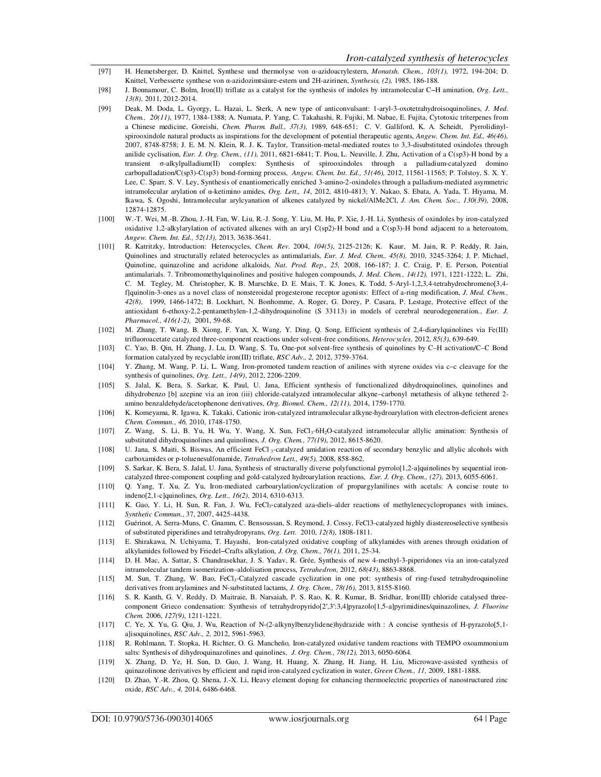- [97] H. Hemetsberger, D. Knittel, Synthese und thermolyse von α-azidoacrylestern, *Monatsh. Chem., 103(1),* 1972, 194-204; D. Knittel, Verbesserte synthese von α-azidozimtsäure-estern und 2H-azirinen, *Synthesis, (2),* 1985, 186-188.
- [98] J. Bonnamour, C. Bolm, Iron(II) triflate as a catalyst for the synthesis of indoles by intramolecular C−H amination, *Org. Lett., 13(8),* 2011, 2012-2014.
- [99] Deak, M. Doda, L. Gyorgy, L. Hazai, L. Sterk, A new type of anticonvulsant: 1-aryl-3-oxotetrahydroisoquinolines, *J. Med. Chem., 20(11)*, 1977, 1384-1388; A. Numata, P. Yang, C. Takahashi, R. Fujiki, M. Nabae, E. Fujita, Cytotoxic triterpenes from a Chinese medicine, Goreishi, *Chem. Pharm. Bull., 37(3),* 1989, 648-651; C. V. Galliford, K. A. Scheidt, Pyrrolidinylspirooxindole natural products as inspirations for the development of potential therapeutic agents, *Angew. Chem. Int. Ed., 46(46),*  2007, 8748-8758; J. E. M. N. Klein, R. J. K. Taylor, Transition-metal-mediated routes to 3,3-disubstituted oxindoles through anilide cyclisation, *Eur. J. Org. Chem., (11),* 2011, 6821-6841; T. Piou, L. Neuville, J. Zhu, Activation of a C(sp3)-H bond by a transient σ-alkylpalladium(II) complex: Synthesis of spirooxindoles through a palladium-catalyzed domino carbopalladation/C(sp3)-C(sp3) bond-forming process, *Angew. Chem. Int. Ed., 51(46),* 2012, 11561-11565; P. Tolstoy, S. X. Y. Lee, C. Sparr, S. V. Ley, Synthesis of enantiomerically enriched 3-amino-2-oxindoles through a palladium-mediated asymmetric intramolecular arylation of α-ketimino amides, *Org. Lett., 14*, 2012, 4810-4813; Y. Nakao, S. Ebata, A. Yada, T. Hiyama, M. Ikawa, S. Ogoshi, Intramolecular arylcyanation of alkenes catalyzed by nickel/AlMe2Cl, *J. Am. Chem. Soc., 130(39),* 2008, 12874-12875.
- [100] W.-T. Wei, M.-B. Zhou, J.-H. Fan, W. Liu, R.-J. Song, Y. Liu, M. Hu, P. Xie, J.-H. Li, Synthesis of oxindoles by iron-catalyzed oxidative 1,2-alkylarylation of activated alkenes with an aryl C(sp2)-H bond and a C(sp3)-H bond adjacent to a heteroatom, *Angew. Chem. Int. Ed., 52(13),* 2013, 3638-3641.
- [101] R. Katritzky, Introduction: Heterocycles, *Chem. Rev.* 2004, *104(5)*, 2125-2126; K. Kaur, M. Jain, R. P. Reddy, R. Jain, Quinolines and structurally related heterocycles as antimalarials, *Eur. J. Med. Chem., 45(8),* 2010, 3245-3264; J. P. Michael, Quinoline, quinazoline and acridone alkaloids, *Nat. Prod. Rep., 25,* 2008, 166-187; J. C. Craig, P. E. Person, Potential antimalarials. 7. Tribromomethylquinolines and positive halogen compounds, *J. Med. Chem., 14(12),* 1971, 1221-1222; L. Zhi, C. M. Tegley, M. Christopher, K. B. Marschke, D. E. Mais, T. K. Jones, K. Todd, 5-Aryl-1,2,3,4-tetrahydrochromeno[3,4 f]quinolin-3-ones as a novel class of nonsteroidal progesterone receptor agonists: Effect of a-ring modification, *J. Med. Chem., 42(8),* 1999, 1466-1472; B. Lockhart, N. Bonhomme, A. Roger, G. Dorey, P. Casara, P. Lestage, Protective effect of the antioxidant 6-ethoxy-2,2-pentamethylen-1,2-dihydroquinoline (S 33113) in models of cerebral neurodegeneration., *Eur. J. Pharmacol., 416(1-2),* 2001, 59-68.
- [102] M. Zhang, T. Wang, B. Xiong, F. Yan, X. Wang, Y. Ding, Q. Song, Efficient synthesis of 2,4-diarylquinolines via Fe(III) trifluoroacetate catalyzed three-component reactions under solvent-free conditions, *Heterocycles,* 2012, *85(3)*, 639-649.
- [103] C. Yao, B. Qin, H. Zhang, J. Lu, D. Wang, S. Tu, One-pot solvent-free synthesis of quinolines by C–H activation/C–C Bond formation catalyzed by recyclable iron(III) triflate, *RSC Adv., 2,* 2012, 3759-3764.
- [104] Y. Zhang, M. Wang, P. Li, L. Wang, Iron-promoted tandem reaction of anilines with styrene oxides via c–c cleavage for the synthesis of quinolines, *Org. Lett., 14(9)*, 2012, 2206-2209.
- [105] S. Jalal, K. Bera, S. Sarkar, K. Paul, U. Jana, Efficient synthesis of functionalized dihydroquinolines, quinolines and dihydrobenzo [b] azepine via an iron (iii) chloride-catalyzed intramolecular alkyne–carbonyl metathesis of alkyne tethered 2 amino benzaldehyde/acetophenone derivatives, *Org. Biomol. Chem., 12(11),* 2014, 1759-1770.
- [106] K. Komeyama, R. Igawa, K. Takaki, Cationic iron-catalyzed intramolecular alkyne-hydroarylation with electron-deficient arenes *Chem. Commun., 46,* 2010, 1748-1750.
- [107] Z. Wang, S. Li, B. Yu, H. Wu, Y. Wang, X. Sun, FeCl3·6H2O-catalyzed intramolecular allylic amination: Synthesis of substituted dihydroquinolines and quinolines, *J. Org. Chem., 77(19)*, 2012, 8615-8620.
- [108] U. Jana, S. Maiti, S. Biswas, An efficient FeCl 3-catalyzed amidation reaction of secondary benzylic and allylic alcohols with carboxamides or p-toluenesulfonamide, *Tetrahedron Lett., 49(5),* 2008, 858-862.
- [109] S. Sarkar, K. Bera, S. Jalal, U. Jana, Synthesis of structurally diverse polyfunctional pyrrolo[1,2-a]quinolines by sequential ironcatalyzed three-component coupling and gold-catalyzed hydroarylation reactions, *Eur. J. Org. Chem., (27),* 2013, 6055-6061.
- [110] Q. Yang, T. Xu, Z. Yu, Iron-mediated carboarylation/cyclization of propargylanilines with acetals: A concise route to indeno[2,1-c]quinolines, *Org. Lett., 16(2),* 2014, 6310-6313.
- [111] K. Gao, Y. Li, H. Sun, R. Fan, J. Wu, FeCl<sub>3</sub>-catalyzed aza-diels–alder reactions of methylenecyclopropanes with imines, *Synthetic Commun.*, 37, 2007, 4425-4438.
- [112] Guérinot, A. Serra-Muns, C. Gnamm, C. Bensoussan, S. Reymond, J. Cossy, FeCl3-catalyzed highly diastereoselective synthesis of substituted piperidines and tetrahydropyrans, *Org. Lett.* 2010, *12(8)*, 1808-1811.
- [113] E. Shirakawa, N. Uchiyama, T. Hayashi, Iron-catalyzed oxidative coupling of alkylamides with arenes through oxidation of alkylamides followed by Friedel−Crafts alkylation, *J. Org. Chem., 76(1),* 2011, 25-34.
- [114] D. H. Mac, A. Sattar, S. Chandrasekhar, J. S. Yadav, R. Grée, Synthesis of new 4-methyl-3-piperidones via an iron-catalyzed intramolecular tandem isomerization–aldolisation process, *Tetrahedron,* 2012, *68(43)*, 8863-8868.
- [115] M. Sun, T. Zhang, W. Bao, FeCl3-Catalyzed cascade cyclization in one pot: synthesis of ring-fused tetrahydroquinoline derivatives from arylamines and N-substituted lactams, *J. Org. Chem., 78(16),* 2013, 8155-8160.
- [116] S. R. Kanth, G. V. Reddy, D. Maitraie, B. Narsaiah, P. S. Rao, K. R. Kumar, B. Sridhar, Iron(III) chloride catalysed threecomponent Grieco condensation: Synthesis of tetrahydropyrido[2′,3′:3,4]pyrazolo[1,5-a]pyrimidines/quinazolines, *J. Fluorine Chem.* 2006, *127(9)*, 1211-1221.
- [117] C. Ye, X. Yu, G. Qiu, J. Wu, Reaction of N-(2-alkynylbenzylidene)hydrazide with : A concise synthesis of H-pyrazolo[5,1 a]isoquinolines, *RSC Adv., 2,* 2012, 5961-5963.
- [118] R. Rohlmann, T. Stopka, H. Richter, O. G. Mancheño*,* Iron-catalyzed oxidative tandem reactions with TEMPO oxoammonium salts: Synthesis of dihydroquinazolines and quinolines, *J. Org. Chem., 78(12),* 2013, 6050-6064.
- [119] X. Zhang, D. Ye, H. Sun, D. Guo, J. Wang, H. Huang, X. Zhang, H. Jiang, H. Liu, Microwave-assisted synthesis of quinazolinone derivatives by efficient and rapid iron-catalyzed cyclization in water, *Green Chem., 11,* 2009, 1881-1888.
- [120] D. Zhao, Y.-R. Zhou, Q. Shena, J.-X. Li, Heavy element doping for enhancing thermoelectric properties of nanostructured zinc oxide, *RSC Adv., 4,* 2014, 6486-6468.